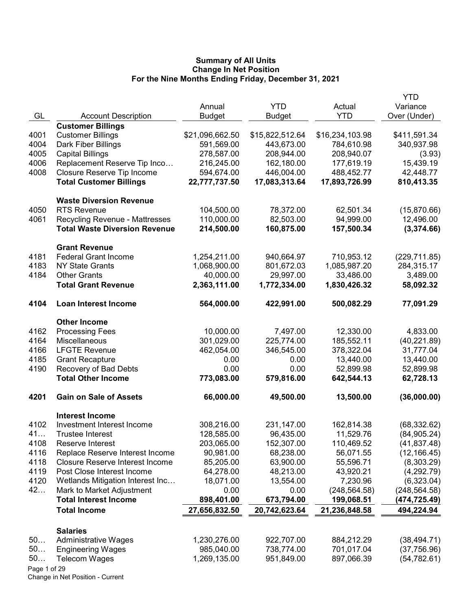|              |                                        |                 |                 |                 | YTD           |
|--------------|----------------------------------------|-----------------|-----------------|-----------------|---------------|
|              |                                        | Annual          | <b>YTD</b>      | Actual          | Variance      |
| GL           | <b>Account Description</b>             | <b>Budget</b>   | <b>Budget</b>   | <b>YTD</b>      | Over (Under)  |
|              | <b>Customer Billings</b>               |                 |                 |                 |               |
| 4001         | <b>Customer Billings</b>               | \$21,096,662.50 | \$15,822,512.64 | \$16,234,103.98 | \$411,591.34  |
| 4004         | Dark Fiber Billings                    | 591,569.00      | 443,673.00      | 784,610.98      | 340,937.98    |
| 4005         | <b>Capital Billings</b>                | 278,587.00      | 208,944.00      | 208,940.07      | (3.93)        |
| 4006         | Replacement Reserve Tip Inco           | 216,245.00      | 162,180.00      | 177,619.19      | 15,439.19     |
| 4008         | Closure Reserve Tip Income             | 594,674.00      | 446,004.00      | 488,452.77      | 42,448.77     |
|              | <b>Total Customer Billings</b>         | 22,777,737.50   | 17,083,313.64   | 17,893,726.99   | 810,413.35    |
|              | <b>Waste Diversion Revenue</b>         |                 |                 |                 |               |
| 4050         | <b>RTS Revenue</b>                     | 104,500.00      | 78,372.00       | 62,501.34       | (15,870.66)   |
| 4061         | Recycling Revenue - Mattresses         | 110,000.00      | 82,503.00       | 94,999.00       | 12,496.00     |
|              | <b>Total Waste Diversion Revenue</b>   | 214,500.00      | 160,875.00      | 157,500.34      | (3,374.66)    |
|              | <b>Grant Revenue</b>                   |                 |                 |                 |               |
| 4181         | <b>Federal Grant Income</b>            | 1,254,211.00    | 940,664.97      | 710,953.12      | (229, 711.85) |
| 4183         | <b>NY State Grants</b>                 | 1,068,900.00    | 801,672.03      | 1,085,987.20    | 284,315.17    |
| 4184         | <b>Other Grants</b>                    | 40,000.00       | 29,997.00       | 33,486.00       | 3,489.00      |
|              | <b>Total Grant Revenue</b>             | 2,363,111.00    | 1,772,334.00    | 1,830,426.32    | 58,092.32     |
| 4104         | <b>Loan Interest Income</b>            | 564,000.00      | 422,991.00      | 500,082.29      | 77,091.29     |
|              | <b>Other Income</b>                    |                 |                 |                 |               |
| 4162         | <b>Processing Fees</b>                 | 10,000.00       | 7,497.00        | 12,330.00       | 4,833.00      |
| 4164         | Miscellaneous                          | 301,029.00      | 225,774.00      | 185,552.11      | (40, 221.89)  |
| 4166         | <b>LFGTE Revenue</b>                   | 462,054.00      | 346,545.00      | 378,322.04      | 31,777.04     |
| 4185         | <b>Grant Recapture</b>                 | 0.00            | 0.00            | 13,440.00       | 13,440.00     |
| 4190         | Recovery of Bad Debts                  | 0.00            | 0.00            | 52,899.98       | 52,899.98     |
|              | <b>Total Other Income</b>              | 773,083.00      | 579,816.00      | 642,544.13      | 62,728.13     |
| 4201         | <b>Gain on Sale of Assets</b>          | 66,000.00       | 49,500.00       | 13,500.00       | (36,000.00)   |
|              | <b>Interest Income</b>                 |                 |                 |                 |               |
| 4102         | Investment Interest Income             | 308,216.00      | 231,147.00      | 162,814.38      | (68, 332.62)  |
| 41           | <b>Trustee Interest</b>                | 128,585.00      | 96,435.00       | 11,529.76       | (84, 905.24)  |
| 4108         | Reserve Interest                       | 203,065.00      | 152,307.00      | 110,469.52      | (41, 837.48)  |
| 4116         | Replace Reserve Interest Income        | 90,981.00       | 68,238.00       | 56,071.55       | (12, 166.45)  |
| 4118         | <b>Closure Reserve Interest Income</b> | 85,205.00       | 63,900.00       | 55,596.71       | (8,303.29)    |
| 4119         | Post Close Interest Income             | 64,278.00       | 48,213.00       | 43,920.21       | (4,292.79)    |
| 4120         | Wetlands Mitigation Interest Inc       | 18,071.00       | 13,554.00       | 7,230.96        | (6,323.04)    |
| 42           | Mark to Market Adjustment              | 0.00            | 0.00            | (248, 564.58)   | (248, 564.58) |
|              | <b>Total Interest Income</b>           | 898,401.00      | 673,794.00      | 199,068.51      | (474,725.49)  |
|              | <b>Total Income</b>                    | 27,656,832.50   | 20,742,623.64   | 21,236,848.58   | 494,224.94    |
|              | <b>Salaries</b>                        |                 |                 |                 |               |
| 50           | <b>Administrative Wages</b>            | 1,230,276.00    | 922,707.00      | 884,212.29      | (38, 494.71)  |
| 50           | <b>Engineering Wages</b>               | 985,040.00      | 738,774.00      | 701,017.04      | (37, 756.96)  |
| 50           | <b>Telecom Wages</b>                   | 1,269,135.00    | 951,849.00      | 897,066.39      | (54, 782.61)  |
| Page 1 of 29 |                                        |                 |                 |                 |               |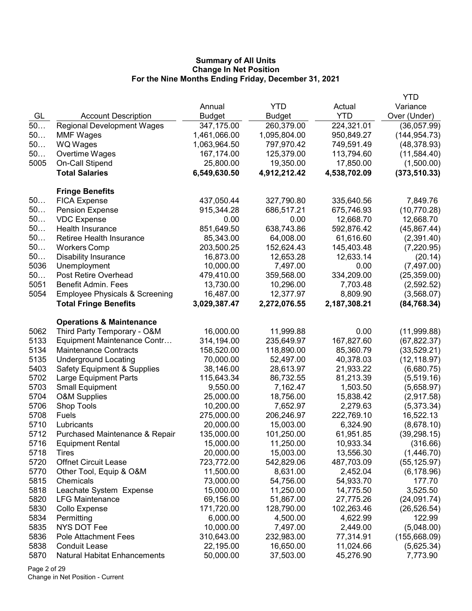|      |                                           |               |               |              | <b>YTD</b>    |
|------|-------------------------------------------|---------------|---------------|--------------|---------------|
|      |                                           | Annual        | <b>YTD</b>    | Actual       | Variance      |
| GL   | <b>Account Description</b>                | <b>Budget</b> | <b>Budget</b> | <b>YTD</b>   | Over (Under)  |
| 50   | <b>Regional Development Wages</b>         | 347,175.00    | 260,379.00    | 224,321.01   | (36,057.99)   |
| 50   | <b>MMF Wages</b>                          | 1,461,066.00  | 1,095,804.00  | 950,849.27   | (144, 954.73) |
| 50   | WQ Wages                                  | 1,063,964.50  | 797,970.42    | 749,591.49   | (48, 378.93)  |
| 50   | Overtime Wages                            | 167,174.00    | 125,379.00    | 113,794.60   | (11,584.40)   |
| 5005 | On-Call Stipend                           | 25,800.00     | 19,350.00     | 17,850.00    | (1,500.00)    |
|      | <b>Total Salaries</b>                     | 6,549,630.50  | 4,912,212.42  | 4,538,702.09 | (373, 510.33) |
|      | <b>Fringe Benefits</b>                    |               |               |              |               |
| 50   | <b>FICA Expense</b>                       | 437,050.44    | 327,790.80    | 335,640.56   | 7,849.76      |
| 50   | <b>Pension Expense</b>                    | 915,344.28    | 686,517.21    | 675,746.93   | (10,770.28)   |
| 50   | <b>VDC Expense</b>                        | 0.00          | 0.00          | 12,668.70    | 12,668.70     |
| 50   | Health Insurance                          | 851,649.50    | 638,743.86    | 592,876.42   | (45, 867.44)  |
| 50   | Retiree Health Insurance                  | 85,343.00     | 64,008.00     | 61,616.60    | (2,391.40)    |
| 50   | <b>Workers Comp</b>                       | 203,500.25    | 152,624.43    | 145,403.48   | (7,220.95)    |
| 50   | <b>Disability Insurance</b>               | 16,873.00     | 12,653.28     | 12,633.14    | (20.14)       |
| 5036 | Unemployment                              | 10,000.00     | 7,497.00      | 0.00         | (7,497.00)    |
| 50   | Post Retire Overhead                      | 479,410.00    | 359,568.00    | 334,209.00   | (25, 359.00)  |
| 5051 | Benefit Admin. Fees                       | 13,730.00     | 10,296.00     | 7,703.48     | (2,592.52)    |
| 5054 | <b>Employee Physicals &amp; Screening</b> | 16,487.00     | 12,377.97     | 8,809.90     | (3,568.07)    |
|      | <b>Total Fringe Benefits</b>              | 3,029,387.47  | 2,272,076.55  | 2,187,308.21 | (84, 768.34)  |
|      | <b>Operations &amp; Maintenance</b>       |               |               |              |               |
| 5062 | Third Party Temporary - O&M               | 16,000.00     | 11,999.88     | 0.00         | (11,999.88)   |
| 5133 | Equipment Maintenance Contr               | 314,194.00    | 235,649.97    | 167,827.60   | (67, 822.37)  |
| 5134 | <b>Maintenance Contracts</b>              | 158,520.00    | 118,890.00    | 85,360.79    | (33, 529.21)  |
| 5135 | <b>Underground Locating</b>               | 70,000.00     | 52,497.00     | 40,378.03    | (12, 118.97)  |
| 5403 | <b>Safety Equipment &amp; Supplies</b>    | 38,146.00     | 28,613.97     | 21,933.22    | (6,680.75)    |
| 5702 | Large Equipment Parts                     | 115,643.34    | 86,732.55     | 81,213.39    | (5,519.16)    |
| 5703 | <b>Small Equipment</b>                    | 9,550.00      | 7,162.47      | 1,503.50     | (5,658.97)    |
| 5704 | <b>O&amp;M Supplies</b>                   | 25,000.00     | 18,756.00     | 15,838.42    | (2,917.58)    |
| 5706 | Shop Tools                                | 10,200.00     | 7,652.97      | 2,279.63     | (5,373.34)    |
| 5708 | Fuels                                     | 275,000.00    | 206,246.97    | 222,769.10   | 16,522.13     |
| 5710 | Lubricants                                | 20,000.00     | 15,003.00     | 6,324.90     | (8,678.10)    |
| 5712 | Purchased Maintenance & Repair            | 135,000.00    | 101,250.00    | 61,951.85    | (39, 298.15)  |
| 5716 | <b>Equipment Rental</b>                   | 15,000.00     | 11,250.00     | 10,933.34    | (316.66)      |
| 5718 | Tires                                     | 20,000.00     | 15,003.00     | 13,556.30    | (1,446.70)    |
| 5720 | <b>Offnet Circuit Lease</b>               | 723,772.00    | 542,829.06    | 487,703.09   | (55, 125.97)  |
| 5770 | Other Tool, Equip & O&M                   | 11,500.00     | 8,631.00      | 2,452.04     | (6, 178.96)   |
| 5815 | Chemicals                                 | 73,000.00     | 54,756.00     | 54,933.70    | 177.70        |
| 5818 | Leachate System Expense                   | 15,000.00     | 11,250.00     | 14,775.50    | 3,525.50      |
| 5820 | <b>LFG Maintenance</b>                    | 69,156.00     | 51,867.00     | 27,775.26    | (24,091.74)   |
| 5830 | Collo Expense                             | 171,720.00    | 128,790.00    | 102,263.46   | (26, 526.54)  |
| 5834 | Permitting                                | 6,000.00      | 4,500.00      | 4,622.99     | 122.99        |
| 5835 | NYS DOT Fee                               | 10,000.00     | 7,497.00      | 2,449.00     | (5,048.00)    |
| 5836 | <b>Pole Attachment Fees</b>               | 310,643.00    | 232,983.00    | 77,314.91    | (155, 668.09) |
| 5838 | <b>Conduit Lease</b>                      | 22,195.00     | 16,650.00     | 11,024.66    | (5,625.34)    |
| 5870 | <b>Natural Habitat Enhancements</b>       | 50,000.00     | 37,503.00     | 45,276.90    | 7,773.90      |

Page 2 of 29 Change in Net Position - Current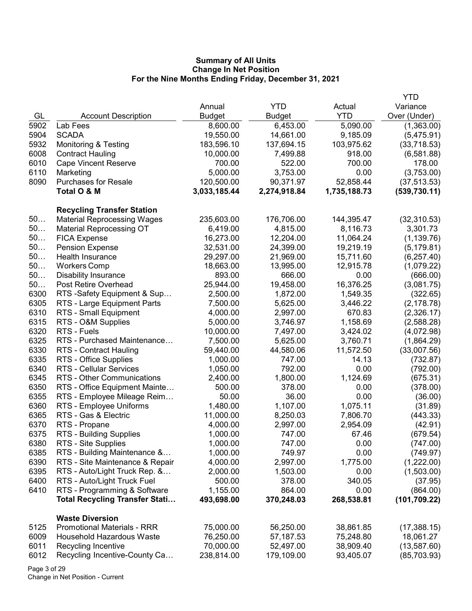|              |                                                                       |                        |                        |                        | <b>YTD</b>                |
|--------------|-----------------------------------------------------------------------|------------------------|------------------------|------------------------|---------------------------|
|              |                                                                       | Annual                 | <b>YTD</b>             | Actual                 | Variance                  |
| GL           | <b>Account Description</b>                                            | <b>Budget</b>          | Budget                 | <b>YTD</b>             | Over (Under)              |
| 5902         | Lab Fees                                                              | 8,600.00               | 6,453.00               | 5,090.00               | (1,363.00)                |
| 5904         | <b>SCADA</b>                                                          | 19,550.00              | 14,661.00              | 9,185.09               | (5,475.91)                |
| 5932         | <b>Monitoring &amp; Testing</b>                                       | 183,596.10             | 137,694.15             | 103,975.62             | (33,718.53)               |
| 6008         | <b>Contract Hauling</b>                                               | 10,000.00              | 7,499.88               | 918.00                 | (6,581.88)                |
| 6010         | <b>Cape Vincent Reserve</b>                                           | 700.00                 | 522.00                 | 700.00                 | 178.00                    |
| 6110         | Marketing                                                             | 5,000.00               | 3,753.00               | 0.00                   | (3,753.00)                |
| 8090         | <b>Purchases for Resale</b>                                           | 120,500.00             | 90,371.97              | 52,858.44              | (37, 513.53)              |
|              | Total O & M                                                           | 3,033,185.44           | 2,274,918.84           | 1,735,188.73           | (539, 730.11)             |
|              |                                                                       |                        |                        |                        |                           |
| 50           | <b>Recycling Transfer Station</b>                                     |                        |                        |                        |                           |
| 50           | <b>Material Reprocessing Wages</b>                                    | 235,603.00<br>6,419.00 | 176,706.00<br>4,815.00 | 144,395.47<br>8,116.73 | (32,310.53)               |
| 50           | <b>Material Reprocessing OT</b>                                       | 16,273.00              |                        |                        | 3,301.73                  |
| 50           | <b>FICA Expense</b>                                                   |                        | 12,204.00              | 11,064.24              | (1, 139.76)               |
| 50           | <b>Pension Expense</b>                                                | 32,531.00<br>29,297.00 | 24,399.00              | 19,219.19              | (5, 179.81)               |
| 50           | Health Insurance                                                      |                        | 21,969.00              | 15,711.60<br>12,915.78 | (6, 257.40)               |
| 50           | <b>Workers Comp</b>                                                   | 18,663.00<br>893.00    | 13,995.00<br>666.00    | 0.00                   | (1,079.22)                |
| 50           | <b>Disability Insurance</b>                                           |                        |                        |                        | (666.00)                  |
| 6300         | Post Retire Overhead<br>RTS -Safety Equipment & Sup                   | 25,944.00<br>2,500.00  | 19,458.00              | 16,376.25              | (3,081.75)                |
| 6305         |                                                                       | 7,500.00               | 1,872.00               | 1,549.35               | (322.65)                  |
| 6310         | RTS - Large Equipment Parts                                           |                        | 5,625.00               | 3,446.22               | (2, 178.78)               |
|              | RTS - Small Equipment                                                 | 4,000.00               | 2,997.00               | 670.83                 | (2,326.17)                |
| 6315<br>6320 | RTS - O&M Supplies                                                    | 5,000.00               | 3,746.97               | 1,158.69               | (2,588.28)                |
| 6325         | RTS - Fuels<br>RTS - Purchased Maintenance                            | 10,000.00              | 7,497.00               | 3,424.02               | (4,072.98)                |
|              |                                                                       | 7,500.00               | 5,625.00               | 3,760.71               | (1,864.29)                |
| 6330<br>6335 | RTS - Contract Hauling                                                | 59,440.00              | 44,580.06              | 11,572.50              | (33,007.56)               |
| 6340         | RTS - Office Supplies                                                 | 1,000.00               | 747.00<br>792.00       | 14.13<br>0.00          | (732.87)                  |
| 6345         | <b>RTS - Cellular Services</b>                                        | 1,050.00               |                        |                        | (792.00)                  |
|              | RTS - Other Communications                                            | 2,400.00               | 1,800.00               | 1,124.69               | (675.31)                  |
| 6350         | RTS - Office Equipment Mainte                                         | 500.00                 | 378.00                 | 0.00                   | (378.00)                  |
| 6355         | RTS - Employee Mileage Reim                                           | 50.00                  | 36.00                  | 0.00                   | (36.00)                   |
| 6360         | RTS - Employee Uniforms                                               | 1,480.00               | 1,107.00               | 1,075.11               | (31.89)                   |
| 6365         | RTS - Gas & Electric                                                  | 11,000.00              | 8,250.03               | 7,806.70               | (443.33)                  |
| 6370<br>6375 | RTS - Propane                                                         | 4,000.00               | 2,997.00               | 2,954.09<br>67.46      | (42.91)                   |
|              | RTS - Building Supplies                                               | 1,000.00               | 747.00<br>747.00       |                        | (679.54)                  |
| 6380         | RTS - Site Supplies                                                   | 1,000.00               |                        | 0.00                   | (747.00)                  |
| 6385         | RTS - Building Maintenance &                                          | 1,000.00               | 749.97                 | 0.00                   | (749.97)                  |
| 6390         | RTS - Site Maintenance & Repair                                       | 4,000.00               | 2,997.00               | 1,775.00               | (1,222.00)                |
| 6395         | RTS - Auto/Light Truck Rep. &                                         | 2,000.00               | 1,503.00               | 0.00                   | (1,503.00)                |
| 6400         | RTS - Auto/Light Truck Fuel                                           | 500.00                 | 378.00                 | 340.05                 | (37.95)                   |
| 6410         | RTS - Programming & Software<br><b>Total Recycling Transfer Stati</b> | 1,155.00<br>493,698.00 | 864.00<br>370,248.03   | 0.00<br>268,538.81     | (864.00)<br>(101, 709.22) |
|              |                                                                       |                        |                        |                        |                           |
|              | <b>Waste Diversion</b>                                                |                        |                        |                        |                           |
| 5125         | <b>Promotional Materials - RRR</b>                                    | 75,000.00              | 56,250.00              | 38,861.85              | (17,388.15)               |
| 6009         | <b>Household Hazardous Waste</b>                                      | 76,250.00              | 57,187.53              | 75,248.80              | 18,061.27                 |
| 6011         | Recycling Incentive                                                   | 70,000.00              | 52,497.00              | 38,909.40              | (13, 587.60)              |
| 6012         | Recycling Incentive-County Ca                                         | 238,814.00             | 179,109.00             | 93,405.07              | (85, 703.93)              |

Page 3 of 29 Change in Net Position - Current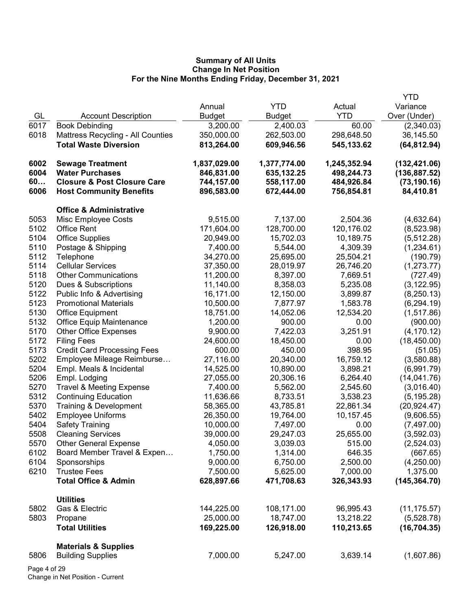|      |                                        |               |               |              | <b>YTD</b>    |
|------|----------------------------------------|---------------|---------------|--------------|---------------|
|      |                                        | Annual        | <b>YTD</b>    | Actual       | Variance      |
| GL   | <b>Account Description</b>             | <b>Budget</b> | <b>Budget</b> | <b>YTD</b>   | Over (Under)  |
| 6017 | <b>Book Debinding</b>                  | 3,200.00      | 2,400.03      | 60.00        | (2,340.03)    |
| 6018 | Mattress Recycling - All Counties      | 350,000.00    | 262,503.00    | 298,648.50   | 36,145.50     |
|      | <b>Total Waste Diversion</b>           | 813,264.00    | 609,946.56    | 545,133.62   | (64, 812.94)  |
| 6002 | <b>Sewage Treatment</b>                | 1,837,029.00  | 1,377,774.00  | 1,245,352.94 | (132, 421.06) |
| 6004 | <b>Water Purchases</b>                 | 846,831.00    | 635,132.25    | 498,244.73   | (136, 887.52) |
| 60   | <b>Closure &amp; Post Closure Care</b> | 744,157.00    | 558,117.00    | 484,926.84   | (73, 190.16)  |
| 6006 | <b>Host Community Benefits</b>         | 896,583.00    | 672,444.00    | 756,854.81   | 84,410.81     |
|      | <b>Office &amp; Administrative</b>     |               |               |              |               |
| 5053 | Misc Employee Costs                    | 9,515.00      | 7,137.00      | 2,504.36     | (4,632.64)    |
| 5102 | Office Rent                            | 171,604.00    | 128,700.00    | 120,176.02   | (8,523.98)    |
| 5104 | <b>Office Supplies</b>                 | 20,949.00     | 15,702.03     | 10,189.75    | (5, 512.28)   |
| 5110 | Postage & Shipping                     | 7,400.00      | 5,544.00      | 4,309.39     | (1,234.61)    |
| 5112 | Telephone                              | 34,270.00     | 25,695.00     | 25,504.21    | (190.79)      |
| 5114 | <b>Cellular Services</b>               | 37,350.00     | 28,019.97     | 26,746.20    | (1,273.77)    |
| 5118 | <b>Other Communications</b>            | 11,200.00     | 8,397.00      | 7,669.51     | (727.49)      |
| 5120 | Dues & Subscriptions                   | 11,140.00     | 8,358.03      | 5,235.08     | (3, 122.95)   |
| 5122 | Public Info & Advertising              | 16,171.00     | 12,150.00     | 3,899.87     | (8,250.13)    |
| 5123 | <b>Promotional Materials</b>           | 10,500.00     | 7,877.97      | 1,583.78     | (6, 294.19)   |
| 5130 | <b>Office Equipment</b>                | 18,751.00     | 14,052.06     | 12,534.20    | (1,517.86)    |
| 5132 | <b>Office Equip Maintenance</b>        | 1,200.00      | 900.00        | 0.00         | (900.00)      |
| 5170 | <b>Other Office Expenses</b>           | 9,900.00      | 7,422.03      | 3,251.91     | (4, 170.12)   |
| 5172 | <b>Filing Fees</b>                     | 24,600.00     | 18,450.00     | 0.00         | (18, 450.00)  |
| 5173 | <b>Credit Card Processing Fees</b>     | 600.00        | 450.00        | 398.95       | (51.05)       |
| 5202 | Employee Mileage Reimburse             | 27,116.00     | 20,340.00     | 16,759.12    | (3,580.88)    |
| 5204 | Empl. Meals & Incidental               | 14,525.00     | 10,890.00     | 3,898.21     | (6,991.79)    |
| 5206 | Empl. Lodging                          | 27,055.00     | 20,306.16     | 6,264.40     | (14,041.76)   |
| 5270 | <b>Travel &amp; Meeting Expense</b>    | 7,400.00      | 5,562.00      | 2,545.60     | (3,016.40)    |
| 5312 | <b>Continuing Education</b>            | 11,636.66     | 8,733.51      | 3,538.23     | (5, 195.28)   |
| 5370 | Training & Development                 | 58,365.00     | 43,785.81     | 22,861.34    | (20, 924.47)  |
| 5402 | <b>Employee Uniforms</b>               | 26,350.00     | 19,764.00     | 10,157.45    | (9,606.55)    |
| 5404 | <b>Safety Training</b>                 | 10,000.00     | 7,497.00      | 0.00         | (7,497.00)    |
| 5508 | <b>Cleaning Services</b>               | 39,000.00     | 29,247.03     | 25,655.00    | (3,592.03)    |
| 5570 | <b>Other General Expense</b>           | 4,050.00      | 3,039.03      | 515.00       | (2,524.03)    |
| 6102 | Board Member Travel & Expen            | 1,750.00      | 1,314.00      | 646.35       | (667.65)      |
| 6104 | Sponsorships                           | 9,000.00      | 6,750.00      | 2,500.00     | (4,250.00)    |
| 6210 | <b>Trustee Fees</b>                    | 7,500.00      | 5,625.00      | 7,000.00     | 1,375.00      |
|      | <b>Total Office &amp; Admin</b>        | 628,897.66    | 471,708.63    | 326,343.93   | (145, 364.70) |
|      | <b>Utilities</b>                       |               |               |              |               |
| 5802 | Gas & Electric                         | 144,225.00    | 108,171.00    | 96,995.43    | (11, 175.57)  |
| 5803 | Propane                                | 25,000.00     | 18,747.00     | 13,218.22    | (5,528.78)    |
|      | <b>Total Utilities</b>                 | 169,225.00    | 126,918.00    | 110,213.65   | (16, 704.35)  |
|      | <b>Materials &amp; Supplies</b>        |               |               |              |               |
| 5806 | <b>Building Supplies</b>               | 7,000.00      | 5,247.00      | 3,639.14     | (1,607.86)    |
|      | ະ ດ∩                                   |               |               |              |               |

Page 4 of 29 Change in Net Position - Current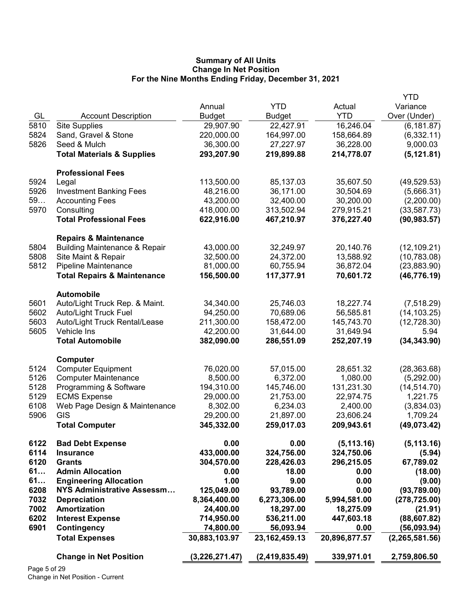|              |                                          |                |                  |               | YTD              |
|--------------|------------------------------------------|----------------|------------------|---------------|------------------|
|              |                                          | Annual         | <b>YTD</b>       | Actual        | Variance         |
| GL           | <b>Account Description</b>               | <b>Budget</b>  | Budget           | <b>YTD</b>    | Over (Under)     |
| 5810         | <b>Site Supplies</b>                     | 29,907.90      | 22,427.91        | 16,246.04     | (6, 181.87)      |
| 5824         | Sand, Gravel & Stone                     | 220,000.00     | 164,997.00       | 158,664.89    | (6,332.11)       |
| 5826         | Seed & Mulch                             | 36,300.00      | 27,227.97        | 36,228.00     | 9,000.03         |
|              | <b>Total Materials &amp; Supplies</b>    | 293,207.90     | 219,899.88       | 214,778.07    | (5, 121.81)      |
|              |                                          |                |                  |               |                  |
|              | <b>Professional Fees</b>                 |                |                  |               |                  |
| 5924         | Legal                                    | 113,500.00     | 85,137.03        | 35,607.50     | (49, 529.53)     |
| 5926         | <b>Investment Banking Fees</b>           | 48,216.00      | 36,171.00        | 30,504.69     | (5,666.31)       |
| 59           | <b>Accounting Fees</b>                   | 43,200.00      | 32,400.00        | 30,200.00     | (2,200.00)       |
| 5970         | Consulting                               | 418,000.00     | 313,502.94       | 279,915.21    | (33, 587.73)     |
|              | <b>Total Professional Fees</b>           | 622,916.00     | 467,210.97       | 376,227.40    | (90, 983.57)     |
|              |                                          |                |                  |               |                  |
|              | <b>Repairs &amp; Maintenance</b>         |                |                  |               |                  |
| 5804         | <b>Building Maintenance &amp; Repair</b> | 43,000.00      | 32,249.97        | 20,140.76     | (12, 109.21)     |
| 5808         | Site Maint & Repair                      | 32,500.00      | 24,372.00        | 13,588.92     | (10, 783.08)     |
| 5812         | Pipeline Maintenance                     | 81,000.00      | 60,755.94        | 36,872.04     | (23, 883.90)     |
|              | <b>Total Repairs &amp; Maintenance</b>   | 156,500.00     | 117,377.91       | 70,601.72     | (46, 776.19)     |
|              |                                          |                |                  |               |                  |
|              | <b>Automobile</b>                        |                |                  |               |                  |
| 5601         | Auto/Light Truck Rep. & Maint.           | 34,340.00      | 25,746.03        | 18,227.74     | (7,518.29)       |
| 5602         | <b>Auto/Light Truck Fuel</b>             | 94,250.00      | 70,689.06        | 56,585.81     | (14, 103.25)     |
| 5603         | Auto/Light Truck Rental/Lease            | 211,300.00     | 158,472.00       | 145,743.70    | (12, 728.30)     |
| 5605         | Vehicle Ins                              | 42,200.00      | 31,644.00        | 31,649.94     | 5.94             |
|              | <b>Total Automobile</b>                  | 382,090.00     | 286,551.09       | 252,207.19    | (34, 343.90)     |
|              |                                          |                |                  |               |                  |
|              | Computer                                 |                |                  |               |                  |
| 5124         | <b>Computer Equipment</b>                | 76,020.00      | 57,015.00        | 28,651.32     | (28, 363.68)     |
| 5126         | <b>Computer Maintenance</b>              | 8,500.00       | 6,372.00         | 1,080.00      | (5,292.00)       |
| 5128         | Programming & Software                   | 194,310.00     | 145,746.00       | 131,231.30    | (14, 514.70)     |
| 5129         | <b>ECMS Expense</b>                      | 29,000.00      | 21,753.00        | 22,974.75     | 1,221.75         |
| 6108         | Web Page Design & Maintenance            | 8,302.00       | 6,234.03         | 2,400.00      | (3,834.03)       |
| 5906         | GIS                                      | 29,200.00      | 21,897.00        | 23,606.24     | 1,709.24         |
|              | <b>Total Computer</b>                    | 345,332.00     | 259,017.03       | 209,943.61    | (49,073.42)      |
|              |                                          |                |                  |               |                  |
| 6122         | <b>Bad Debt Expense</b>                  | 0.00           | 0.00             | (5, 113.16)   | (5, 113.16)      |
| 6114         | <b>Insurance</b>                         | 433,000.00     | 324,756.00       | 324,750.06    | (5.94)           |
| 6120         | <b>Grants</b>                            | 304,570.00     | 228,426.03       | 296,215.05    | 67,789.02        |
| 61           | <b>Admin Allocation</b>                  | 0.00           | 18.00            | 0.00          | (18.00)          |
| 61           | <b>Engineering Allocation</b>            | 1.00           | 9.00             | 0.00          | (9.00)           |
| 6208         | <b>NYS Administrative Assessm</b>        | 125,049.00     | 93,789.00        | 0.00          | (93,789.00)      |
| 7032         | <b>Depreciation</b>                      | 8,364,400.00   | 6,273,306.00     | 5,994,581.00  | (278, 725.00)    |
| 7002         | <b>Amortization</b>                      | 24,400.00      | 18,297.00        | 18,275.09     | (21.91)          |
| 6202         | <b>Interest Expense</b>                  | 714,950.00     | 536,211.00       | 447,603.18    | (88, 607.82)     |
| 6901         | Contingency                              | 74,800.00      | 56,093.94        | 0.00          | (56,093.94)      |
|              | <b>Total Expenses</b>                    | 30,883,103.97  | 23, 162, 459. 13 | 20,896,877.57 | (2, 265, 581.56) |
|              |                                          |                |                  |               |                  |
|              | <b>Change in Net Position</b>            | (3,226,271.47) | (2,419,835.49)   | 339,971.01    | 2,759,806.50     |
| Page 5 of 29 |                                          |                |                  |               |                  |
|              |                                          |                |                  |               |                  |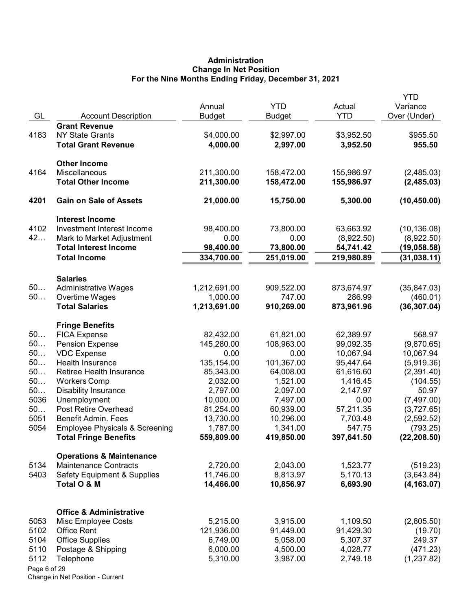# Administration Change In Net Position For the Nine Months Ending Friday, December 31, 2021

|              |                                                            | Annual                  | <b>YTD</b>              | Actual                 | YTD<br>Variance   |
|--------------|------------------------------------------------------------|-------------------------|-------------------------|------------------------|-------------------|
| GL           | <b>Account Description</b>                                 | <b>Budget</b>           | Budget                  | <b>YTD</b>             | Over (Under)      |
|              | <b>Grant Revenue</b>                                       |                         |                         |                        |                   |
| 4183         | <b>NY State Grants</b>                                     | \$4,000.00              | \$2,997.00              | \$3,952.50             | \$955.50          |
|              | <b>Total Grant Revenue</b>                                 | 4,000.00                | 2,997.00                | 3,952.50               | 955.50            |
|              | <b>Other Income</b>                                        |                         |                         |                        |                   |
| 4164         | Miscellaneous                                              | 211,300.00              | 158,472.00              | 155,986.97             | (2,485.03)        |
|              | <b>Total Other Income</b>                                  | 211,300.00              | 158,472.00              | 155,986.97             | (2,485.03)        |
| 4201         | <b>Gain on Sale of Assets</b>                              | 21,000.00               | 15,750.00               | 5,300.00               | (10, 450.00)      |
|              | <b>Interest Income</b>                                     |                         |                         |                        |                   |
| 4102         | Investment Interest Income                                 | 98,400.00               | 73,800.00               | 63,663.92              | (10, 136.08)      |
| 42           | Mark to Market Adjustment                                  | 0.00                    | 0.00                    | (8,922.50)             | (8,922.50)        |
|              | <b>Total Interest Income</b>                               | 98,400.00               | 73,800.00               | 54,741.42              | (19,058.58)       |
|              | <b>Total Income</b>                                        | 334,700.00              | 251,019.00              | 219,980.89             | (31, 038.11)      |
|              | <b>Salaries</b>                                            |                         |                         |                        |                   |
| 50           | <b>Administrative Wages</b>                                | 1,212,691.00            | 909,522.00              | 873,674.97             | (35, 847.03)      |
| 50           | Overtime Wages                                             | 1,000.00                | 747.00                  | 286.99                 | (460.01)          |
|              | <b>Total Salaries</b>                                      | 1,213,691.00            | 910,269.00              | 873,961.96             | (36, 307.04)      |
|              | <b>Fringe Benefits</b>                                     |                         |                         |                        |                   |
| 50           | <b>FICA Expense</b>                                        | 82,432.00               | 61,821.00               | 62,389.97              | 568.97            |
| 50           | <b>Pension Expense</b>                                     | 145,280.00              | 108,963.00              | 99,092.35              | (9,870.65)        |
| 50<br>50     | <b>VDC</b> Expense                                         | 0.00                    | 0.00                    | 10,067.94              | 10,067.94         |
| 50           | <b>Health Insurance</b><br><b>Retiree Health Insurance</b> | 135,154.00<br>85,343.00 | 101,367.00<br>64,008.00 | 95,447.64<br>61,616.60 | (5,919.36)        |
| 50           | <b>Workers Comp</b>                                        | 2,032.00                | 1,521.00                | 1,416.45               | (2,391.40)        |
| 50           | <b>Disability Insurance</b>                                | 2,797.00                | 2,097.00                | 2,147.97               | (104.55)<br>50.97 |
| 5036         | Unemployment                                               | 10,000.00               | 7,497.00                | 0.00                   | (7,497.00)        |
| 50           | Post Retire Overhead                                       | 81,254.00               | 60,939.00               | 57,211.35              | (3,727.65)        |
| 5051         | <b>Benefit Admin. Fees</b>                                 | 13,730.00               | 10,296.00               | 7,703.48               | (2,592.52)        |
| 5054         | <b>Employee Physicals &amp; Screening</b>                  | 1,787.00                | 1,341.00                | 547.75                 | (793.25)          |
|              | <b>Total Fringe Benefits</b>                               | 559,809.00              | 419,850.00              | 397,641.50             | (22, 208.50)      |
|              | <b>Operations &amp; Maintenance</b>                        |                         |                         |                        |                   |
| 5134         | <b>Maintenance Contracts</b>                               | 2,720.00                | 2,043.00                | 1,523.77               | (519.23)          |
| 5403         | <b>Safety Equipment &amp; Supplies</b>                     | 11,746.00               | 8,813.97                | 5,170.13               | (3,643.84)        |
|              | Total O & M                                                | 14,466.00               | 10,856.97               | 6,693.90               | (4, 163.07)       |
|              | <b>Office &amp; Administrative</b>                         |                         |                         |                        |                   |
| 5053         | Misc Employee Costs                                        | 5,215.00                | 3,915.00                | 1,109.50               | (2,805.50)        |
| 5102         | <b>Office Rent</b>                                         | 121,936.00              | 91,449.00               | 91,429.30              | (19.70)           |
| 5104         | <b>Office Supplies</b>                                     | 6,749.00                | 5,058.00                | 5,307.37               | 249.37            |
| 5110         | Postage & Shipping                                         | 6,000.00                | 4,500.00                | 4,028.77               | (471.23)          |
| 5112         | Telephone                                                  | 5,310.00                | 3,987.00                | 2,749.18               | (1,237.82)        |
| Page 6 of 29 |                                                            |                         |                         |                        |                   |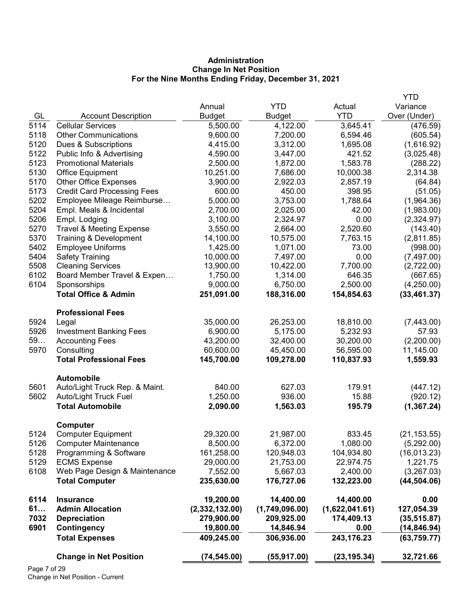# Administration Change In Net Position For the Nine Months Ending Friday, December 31, 2021

|      |                                     |                |                |                | <b>YTD</b>   |
|------|-------------------------------------|----------------|----------------|----------------|--------------|
|      |                                     | Annual         | <b>YTD</b>     | Actual         | Variance     |
| GL   | <b>Account Description</b>          | <b>Budget</b>  | <b>Budget</b>  | <b>YTD</b>     | Over (Under) |
| 5114 | <b>Cellular Services</b>            | 5,500.00       | 4,122.00       | 3,645.41       | (476.59)     |
| 5118 | <b>Other Communications</b>         | 9,600.00       | 7,200.00       | 6,594.46       | (605.54)     |
| 5120 | Dues & Subscriptions                | 4,415.00       | 3,312.00       | 1,695.08       | (1,616.92)   |
| 5122 | Public Info & Advertising           | 4,590.00       | 3,447.00       | 421.52         | (3,025.48)   |
| 5123 | <b>Promotional Materials</b>        | 2,500.00       | 1,872.00       | 1,583.78       | (288.22)     |
| 5130 | Office Equipment                    | 10,251.00      | 7,686.00       | 10,000.38      | 2,314.38     |
| 5170 | <b>Other Office Expenses</b>        | 3,900.00       | 2,922.03       | 2,857.19       | (64.84)      |
| 5173 | <b>Credit Card Processing Fees</b>  | 600.00         | 450.00         | 398.95         | (51.05)      |
| 5202 | Employee Mileage Reimburse          | 5,000.00       | 3,753.00       | 1,788.64       | (1,964.36)   |
| 5204 | Empl. Meals & Incidental            | 2,700.00       | 2,025.00       | 42.00          | (1,983.00)   |
| 5206 | Empl. Lodging                       | 3,100.00       | 2,324.97       | 0.00           | (2,324.97)   |
| 5270 | <b>Travel &amp; Meeting Expense</b> | 3,550.00       | 2,664.00       | 2,520.60       | (143.40)     |
| 5370 | Training & Development              | 14,100.00      | 10,575.00      | 7,763.15       | (2,811.85)   |
| 5402 | <b>Employee Uniforms</b>            | 1,425.00       | 1,071.00       | 73.00          | (998.00)     |
| 5404 | <b>Safety Training</b>              | 10,000.00      | 7,497.00       | 0.00           | (7,497.00)   |
| 5508 | <b>Cleaning Services</b>            | 13,900.00      | 10,422.00      | 7,700.00       | (2,722.00)   |
| 6102 | Board Member Travel & Expen         | 1,750.00       | 1,314.00       | 646.35         | (667.65)     |
| 6104 | Sponsorships                        | 9,000.00       | 6,750.00       | 2,500.00       | (4,250.00)   |
|      | <b>Total Office &amp; Admin</b>     | 251,091.00     | 188,316.00     | 154,854.63     | (33, 461.37) |
|      | <b>Professional Fees</b>            |                |                |                |              |
| 5924 | Legal                               | 35,000.00      | 26,253.00      | 18,810.00      | (7,443.00)   |
| 5926 | <b>Investment Banking Fees</b>      | 6,900.00       | 5,175.00       | 5,232.93       | 57.93        |
| 59   | <b>Accounting Fees</b>              | 43,200.00      | 32,400.00      | 30,200.00      | (2,200.00)   |
| 5970 | Consulting                          | 60,600.00      | 45,450.00      | 56,595.00      | 11,145.00    |
|      | <b>Total Professional Fees</b>      | 145,700.00     | 109,278.00     | 110,837.93     | 1,559.93     |
|      | <b>Automobile</b>                   |                |                |                |              |
| 5601 | Auto/Light Truck Rep. & Maint.      | 840.00         | 627.03         | 179.91         | (447.12)     |
| 5602 | Auto/Light Truck Fuel               | 1,250.00       | 936.00         | 15.88          | (920.12)     |
|      | <b>Total Automobile</b>             | 2,090.00       | 1,563.03       | 195.79         | (1, 367.24)  |
|      | Computer                            |                |                |                |              |
| 5124 | <b>Computer Equipment</b>           | 29,320.00      | 21,987.00      | 833.45         | (21, 153.55) |
| 5126 | <b>Computer Maintenance</b>         | 8,500.00       | 6,372.00       | 1,080.00       | (5,292.00)   |
| 5128 | Programming & Software              | 161,258.00     | 120,948.03     | 104,934.80     | (16,013.23)  |
| 5129 | <b>ECMS Expense</b>                 | 29,000.00      | 21,753.00      | 22,974.75      | 1,221.75     |
| 6108 | Web Page Design & Maintenance       | 7,552.00       | 5,667.03       | 2,400.00       | (3,267.03)   |
|      | <b>Total Computer</b>               | 235,630.00     | 176,727.06     | 132,223.00     | (44, 504.06) |
| 6114 | <b>Insurance</b>                    | 19,200.00      | 14,400.00      | 14,400.00      | 0.00         |
| 61   | <b>Admin Allocation</b>             | (2,332,132.00) | (1,749,096.00) | (1,622,041.61) | 127,054.39   |
| 7032 | <b>Depreciation</b>                 | 279,900.00     | 209,925.00     | 174,409.13     | (35, 515.87) |
| 6901 | Contingency                         | 19,800.00      | 14,846.94      | 0.00           | (14, 846.94) |
|      | <b>Total Expenses</b>               | 409,245.00     | 306,936.00     | 243,176.23     | (63, 759.77) |
|      | <b>Change in Net Position</b>       | (74, 545.00)   | (55, 917.00)   | (23, 195.34)   | 32,721.66    |
|      |                                     |                |                |                |              |

Page 7 of 29 Change in Net Position - Current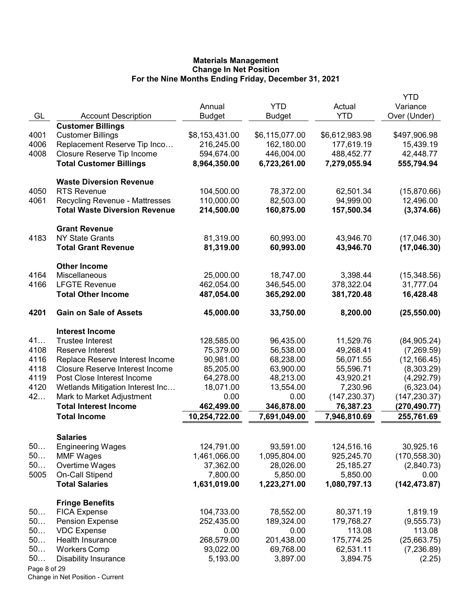|              |                                               |                |                |                | YTD           |
|--------------|-----------------------------------------------|----------------|----------------|----------------|---------------|
|              |                                               | Annual         | <b>YTD</b>     | Actual         | Variance      |
| GL           | <b>Account Description</b>                    | <b>Budget</b>  | <b>Budget</b>  | <b>YTD</b>     | Over (Under)  |
|              | <b>Customer Billings</b>                      |                |                |                |               |
| 4001         | <b>Customer Billings</b>                      | \$8,153,431.00 | \$6,115,077.00 | \$6,612,983.98 | \$497,906.98  |
| 4006         | Replacement Reserve Tip Inco                  | 216,245.00     | 162,180.00     | 177,619.19     | 15,439.19     |
| 4008         | Closure Reserve Tip Income                    | 594,674.00     | 446,004.00     | 488,452.77     | 42,448.77     |
|              | <b>Total Customer Billings</b>                | 8,964,350.00   | 6,723,261.00   | 7,279,055.94   | 555,794.94    |
|              |                                               |                |                |                |               |
|              | <b>Waste Diversion Revenue</b>                |                |                |                |               |
| 4050         | <b>RTS Revenue</b>                            | 104,500.00     | 78,372.00      | 62,501.34      | (15,870.66)   |
| 4061         | <b>Recycling Revenue - Mattresses</b>         | 110,000.00     | 82,503.00      | 94,999.00      | 12,496.00     |
|              | <b>Total Waste Diversion Revenue</b>          | 214,500.00     | 160,875.00     | 157,500.34     | (3,374.66)    |
|              |                                               |                |                |                |               |
|              | <b>Grant Revenue</b>                          |                |                |                |               |
| 4183         | <b>NY State Grants</b>                        | 81,319.00      | 60,993.00      | 43,946.70      | (17,046.30)   |
|              | <b>Total Grant Revenue</b>                    | 81,319.00      | 60,993.00      | 43,946.70      | (17, 046.30)  |
|              |                                               |                |                |                |               |
|              | <b>Other Income</b>                           |                |                |                |               |
| 4164         | Miscellaneous                                 | 25,000.00      | 18,747.00      | 3,398.44       | (15,348.56)   |
| 4166         | <b>LFGTE Revenue</b>                          | 462,054.00     | 346,545.00     | 378,322.04     | 31,777.04     |
|              | <b>Total Other Income</b>                     | 487,054.00     | 365,292.00     | 381,720.48     | 16,428.48     |
| 4201         | <b>Gain on Sale of Assets</b>                 | 45,000.00      | 33,750.00      | 8,200.00       | (25, 550.00)  |
|              |                                               |                |                |                |               |
|              | <b>Interest Income</b>                        |                |                |                |               |
| 41           | <b>Trustee Interest</b>                       | 128,585.00     | 96,435.00      | 11,529.76      | (84, 905.24)  |
| 4108         | Reserve Interest                              | 75,379.00      | 56,538.00      | 49,268.41      | (7,269.59)    |
| 4116         | Replace Reserve Interest Income               | 90,981.00      | 68,238.00      | 56,071.55      | (12, 166.45)  |
| 4118         | <b>Closure Reserve Interest Income</b>        | 85,205.00      | 63,900.00      | 55,596.71      | (8,303.29)    |
| 4119         | Post Close Interest Income                    | 64,278.00      | 48,213.00      | 43,920.21      | (4,292.79)    |
| 4120         | Wetlands Mitigation Interest Inc              | 18,071.00      | 13,554.00      | 7,230.96       | (6,323.04)    |
| 42           | Mark to Market Adjustment                     | 0.00           | 0.00           | (147, 230.37)  | (147, 230.37) |
|              | <b>Total Interest Income</b>                  | 462,499.00     | 346,878.00     | 76,387.23      | (270,490.77)  |
|              | <b>Total Income</b>                           | 10,254,722.00  | 7,691,049.00   | 7,946,810.69   | 255,761.69    |
|              |                                               |                |                |                |               |
|              | <b>Salaries</b>                               |                |                |                |               |
| 50           | <b>Engineering Wages</b>                      | 124,791.00     | 93,591.00      | 124,516.16     | 30,925.16     |
| 50           | <b>MMF Wages</b>                              | 1,461,066.00   | 1,095,804.00   | 925,245.70     | (170, 558.30) |
| 50           | Overtime Wages                                | 37,362.00      | 28,026.00      | 25,185.27      | (2,840.73)    |
| 5005         | On-Call Stipend                               | 7,800.00       | 5,850.00       | 5,850.00       | 0.00          |
|              | <b>Total Salaries</b>                         | 1,631,019.00   | 1,223,271.00   | 1,080,797.13   | (142, 473.87) |
|              |                                               |                |                |                |               |
| 50           | <b>Fringe Benefits</b><br><b>FICA Expense</b> | 104,733.00     | 78,552.00      | 80,371.19      | 1,819.19      |
| 50           | <b>Pension Expense</b>                        | 252,435.00     | 189,324.00     | 179,768.27     | (9, 555.73)   |
| 50           | <b>VDC Expense</b>                            | 0.00           | 0.00           | 113.08         | 113.08        |
| 50           | Health Insurance                              | 268,579.00     | 201,438.00     | 175,774.25     | (25,663.75)   |
| 50           | <b>Workers Comp</b>                           | 93,022.00      | 69,768.00      | 62,531.11      | (7,236.89)    |
| 50           | <b>Disability Insurance</b>                   | 5,193.00       | 3,897.00       | 3,894.75       | (2.25)        |
| Page 8 of 29 |                                               |                |                |                |               |
|              |                                               |                |                |                |               |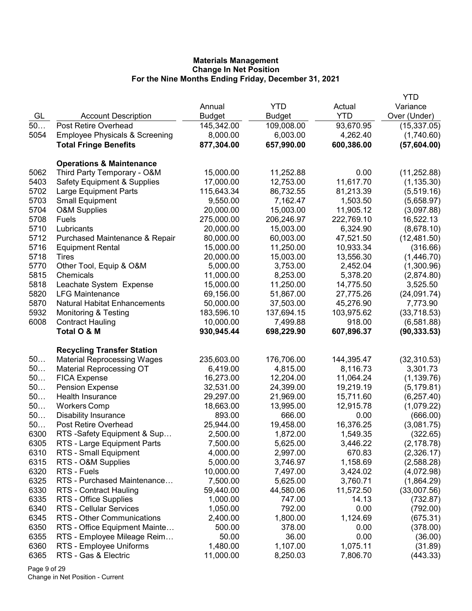|      |                                           |               |               |            | YTD          |
|------|-------------------------------------------|---------------|---------------|------------|--------------|
|      |                                           | Annual        | <b>YTD</b>    | Actual     | Variance     |
| GL   | <b>Account Description</b>                | <b>Budget</b> | <b>Budget</b> | <b>YTD</b> | Over (Under) |
| 50   | Post Retire Overhead                      | 145,342.00    | 109,008.00    | 93,670.95  | (15, 337.05) |
| 5054 | <b>Employee Physicals &amp; Screening</b> | 8,000.00      | 6,003.00      | 4,262.40   | (1,740.60)   |
|      | <b>Total Fringe Benefits</b>              | 877,304.00    | 657,990.00    | 600,386.00 | (57,604.00)  |
|      |                                           |               |               |            |              |
|      | <b>Operations &amp; Maintenance</b>       |               |               |            |              |
| 5062 | Third Party Temporary - O&M               | 15,000.00     | 11,252.88     | 0.00       | (11, 252.88) |
| 5403 | <b>Safety Equipment &amp; Supplies</b>    | 17,000.00     | 12,753.00     | 11,617.70  | (1, 135.30)  |
| 5702 | Large Equipment Parts                     | 115,643.34    | 86,732.55     | 81,213.39  | (5,519.16)   |
| 5703 | <b>Small Equipment</b>                    | 9,550.00      | 7,162.47      | 1,503.50   | (5,658.97)   |
| 5704 | O&M Supplies                              | 20,000.00     | 15,003.00     | 11,905.12  | (3,097.88)   |
| 5708 | Fuels                                     | 275,000.00    | 206,246.97    | 222,769.10 | 16,522.13    |
| 5710 | Lubricants                                | 20,000.00     | 15,003.00     | 6,324.90   | (8,678.10)   |
| 5712 | Purchased Maintenance & Repair            | 80,000.00     | 60,003.00     | 47,521.50  | (12, 481.50) |
| 5716 | <b>Equipment Rental</b>                   | 15,000.00     | 11,250.00     | 10,933.34  | (316.66)     |
| 5718 | Tires                                     | 20,000.00     | 15,003.00     | 13,556.30  | (1,446.70)   |
| 5770 | Other Tool, Equip & O&M                   | 5,000.00      | 3,753.00      | 2,452.04   | (1,300.96)   |
| 5815 | Chemicals                                 | 11,000.00     | 8,253.00      | 5,378.20   | (2,874.80)   |
| 5818 | Leachate System Expense                   | 15,000.00     | 11,250.00     | 14,775.50  | 3,525.50     |
| 5820 | <b>LFG Maintenance</b>                    | 69,156.00     | 51,867.00     | 27,775.26  | (24,091.74)  |
| 5870 | <b>Natural Habitat Enhancements</b>       | 50,000.00     | 37,503.00     | 45,276.90  | 7,773.90     |
| 5932 | Monitoring & Testing                      | 183,596.10    | 137,694.15    | 103,975.62 | (33,718.53)  |
| 6008 | <b>Contract Hauling</b>                   | 10,000.00     | 7,499.88      | 918.00     | (6,581.88)   |
|      | Total O & M                               | 930,945.44    | 698,229.90    | 607,896.37 | (90, 333.53) |
|      |                                           |               |               |            |              |
|      | <b>Recycling Transfer Station</b>         |               |               |            |              |
| 50   | <b>Material Reprocessing Wages</b>        | 235,603.00    | 176,706.00    | 144,395.47 | (32, 310.53) |
| 50   | <b>Material Reprocessing OT</b>           | 6,419.00      | 4,815.00      | 8,116.73   | 3,301.73     |
| 50   | <b>FICA Expense</b>                       | 16,273.00     | 12,204.00     | 11,064.24  | (1, 139.76)  |
| 50   | <b>Pension Expense</b>                    | 32,531.00     | 24,399.00     | 19,219.19  | (5, 179.81)  |
| 50   | Health Insurance                          | 29,297.00     | 21,969.00     | 15,711.60  | (6, 257.40)  |
| 50   | <b>Workers Comp</b>                       | 18,663.00     | 13,995.00     | 12,915.78  | (1,079.22)   |
| 50   | <b>Disability Insurance</b>               | 893.00        | 666.00        | 0.00       | (666.00)     |
| 50   | <b>Post Retire Overhead</b>               | 25,944.00     | 19,458.00     | 16,376.25  | (3,081.75)   |
| 6300 | RTS -Safety Equipment & Sup               | 2,500.00      | 1,872.00      | 1,549.35   | (322.65)     |
| 6305 | RTS - Large Equipment Parts               | 7,500.00      | 5,625.00      | 3,446.22   | (2, 178.78)  |
| 6310 | RTS - Small Equipment                     | 4,000.00      | 2,997.00      | 670.83     | (2,326.17)   |
| 6315 | RTS - O&M Supplies                        | 5,000.00      | 3,746.97      | 1,158.69   | (2,588.28)   |
| 6320 | RTS - Fuels                               | 10,000.00     | 7,497.00      | 3,424.02   | (4,072.98)   |
| 6325 | RTS - Purchased Maintenance               | 7,500.00      | 5,625.00      | 3,760.71   | (1,864.29)   |
| 6330 | RTS - Contract Hauling                    | 59,440.00     | 44,580.06     | 11,572.50  | (33,007.56)  |
| 6335 | RTS - Office Supplies                     | 1,000.00      | 747.00        | 14.13      | (732.87)     |
| 6340 | RTS - Cellular Services                   | 1,050.00      | 792.00        | 0.00       | (792.00)     |
| 6345 | RTS - Other Communications                | 2,400.00      | 1,800.00      | 1,124.69   | (675.31)     |
| 6350 | RTS - Office Equipment Mainte             | 500.00        | 378.00        | 0.00       | (378.00)     |
| 6355 | RTS - Employee Mileage Reim               | 50.00         | 36.00         | 0.00       | (36.00)      |
| 6360 | RTS - Employee Uniforms                   | 1,480.00      | 1,107.00      | 1,075.11   | (31.89)      |
| 6365 | RTS - Gas & Electric                      | 11,000.00     | 8,250.03      | 7,806.70   | (443.33)     |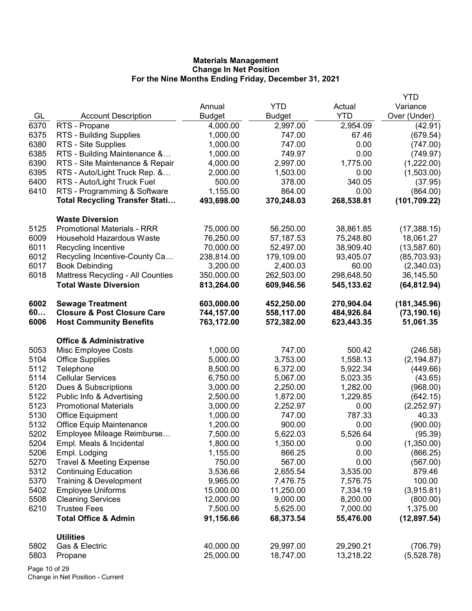|      |                                        |               |               |            | <b>YTD</b>    |
|------|----------------------------------------|---------------|---------------|------------|---------------|
|      |                                        | Annual        | <b>YTD</b>    | Actual     | Variance      |
| GL   | <b>Account Description</b>             | <b>Budget</b> | <b>Budget</b> | <b>YTD</b> | Over (Under)  |
| 6370 | RTS - Propane                          | 4,000.00      | 2,997.00      | 2,954.09   | (42.91)       |
| 6375 | RTS - Building Supplies                | 1,000.00      | 747.00        | 67.46      | (679.54)      |
| 6380 | RTS - Site Supplies                    | 1,000.00      | 747.00        | 0.00       | (747.00)      |
| 6385 | RTS - Building Maintenance &           | 1,000.00      | 749.97        | 0.00       | (749.97)      |
| 6390 | RTS - Site Maintenance & Repair        | 4,000.00      | 2,997.00      | 1,775.00   | (1,222.00)    |
| 6395 | RTS - Auto/Light Truck Rep. &          | 2,000.00      | 1,503.00      | 0.00       | (1,503.00)    |
| 6400 | RTS - Auto/Light Truck Fuel            | 500.00        | 378.00        | 340.05     | (37.95)       |
| 6410 | RTS - Programming & Software           | 1,155.00      | 864.00        | 0.00       | (864.00)      |
|      | <b>Total Recycling Transfer Stati</b>  | 493,698.00    | 370,248.03    | 268,538.81 | (101, 709.22) |
|      | <b>Waste Diversion</b>                 |               |               |            |               |
| 5125 | <b>Promotional Materials - RRR</b>     | 75,000.00     | 56,250.00     | 38,861.85  | (17,388.15)   |
| 6009 | <b>Household Hazardous Waste</b>       | 76,250.00     | 57,187.53     | 75,248.80  | 18,061.27     |
| 6011 | Recycling Incentive                    | 70,000.00     | 52,497.00     | 38,909.40  | (13, 587.60)  |
| 6012 | Recycling Incentive-County Ca          | 238,814.00    | 179,109.00    | 93,405.07  | (85,703.93)   |
| 6017 | <b>Book Debinding</b>                  | 3,200.00      | 2,400.03      | 60.00      | (2,340.03)    |
| 6018 | Mattress Recycling - All Counties      | 350,000.00    | 262,503.00    | 298,648.50 | 36,145.50     |
|      | <b>Total Waste Diversion</b>           | 813,264.00    | 609,946.56    | 545,133.62 | (64, 812.94)  |
| 6002 | <b>Sewage Treatment</b>                | 603,000.00    | 452,250.00    | 270,904.04 | (181, 345.96) |
| 60   | <b>Closure &amp; Post Closure Care</b> | 744,157.00    | 558,117.00    | 484,926.84 | (73, 190.16)  |
| 6006 | <b>Host Community Benefits</b>         | 763,172.00    | 572,382.00    | 623,443.35 | 51,061.35     |
|      | <b>Office &amp; Administrative</b>     |               |               |            |               |
| 5053 | Misc Employee Costs                    | 1,000.00      | 747.00        | 500.42     | (246.58)      |
| 5104 | <b>Office Supplies</b>                 | 5,000.00      | 3,753.00      | 1,558.13   | (2, 194.87)   |
| 5112 | Telephone                              | 8,500.00      | 6,372.00      | 5,922.34   | (449.66)      |
| 5114 | <b>Cellular Services</b>               | 6,750.00      | 5,067.00      | 5,023.35   | (43.65)       |
| 5120 | Dues & Subscriptions                   | 3,000.00      | 2,250.00      | 1,282.00   | (968.00)      |
| 5122 | Public Info & Advertising              | 2,500.00      | 1,872.00      | 1,229.85   | (642.15)      |
| 5123 | <b>Promotional Materials</b>           | 3,000.00      | 2,252.97      | 0.00       | (2,252.97)    |
| 5130 | Office Equipment                       | 1,000.00      | 747.00        | 787.33     | 40.33         |
| 5132 | <b>Office Equip Maintenance</b>        | 1,200.00      | 900.00        | 0.00       | (900.00)      |
| 5202 | Employee Mileage Reimburse             | 7,500.00      | 5,622.03      | 5,526.64   | (95.39)       |
| 5204 | Empl. Meals & Incidental               | 1,800.00      | 1,350.00      | 0.00       | (1,350.00)    |
| 5206 | Empl. Lodging                          | 1,155.00      | 866.25        | 0.00       | (866.25)      |
| 5270 | <b>Travel &amp; Meeting Expense</b>    | 750.00        | 567.00        | 0.00       | (567.00)      |
| 5312 | <b>Continuing Education</b>            | 3,536.66      | 2,655.54      | 3,535.00   | 879.46        |
| 5370 | Training & Development                 | 9,965.00      | 7,476.75      | 7,576.75   | 100.00        |
| 5402 | <b>Employee Uniforms</b>               | 15,000.00     | 11,250.00     | 7,334.19   | (3,915.81)    |
| 5508 | <b>Cleaning Services</b>               | 12,000.00     | 9,000.00      | 8,200.00   | (800.00)      |
| 6210 | <b>Trustee Fees</b>                    | 7,500.00      | 5,625.00      | 7,000.00   | 1,375.00      |
|      | <b>Total Office &amp; Admin</b>        | 91,156.66     | 68,373.54     | 55,476.00  | (12, 897.54)  |
|      | <b>Utilities</b>                       |               |               |            |               |
| 5802 | Gas & Electric                         | 40,000.00     | 29,997.00     | 29,290.21  | (706.79)      |
| 5803 | Propane                                | 25,000.00     | 18,747.00     | 13,218.22  | (5,528.78)    |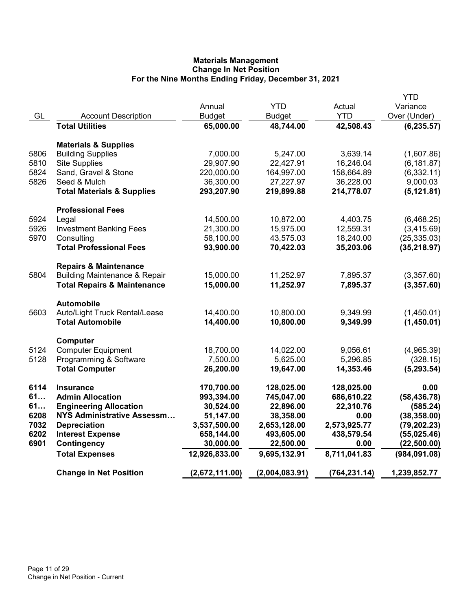|      |                                          |                |                |               | YTD           |
|------|------------------------------------------|----------------|----------------|---------------|---------------|
|      |                                          | Annual         | <b>YTD</b>     | Actual        | Variance      |
| GL   | <b>Account Description</b>               | <b>Budget</b>  | <b>Budget</b>  | <b>YTD</b>    | Over (Under)  |
|      | <b>Total Utilities</b>                   | 65,000.00      | 48,744.00      | 42,508.43     | (6, 235.57)   |
|      | <b>Materials &amp; Supplies</b>          |                |                |               |               |
| 5806 | <b>Building Supplies</b>                 | 7,000.00       | 5,247.00       | 3,639.14      | (1,607.86)    |
| 5810 | <b>Site Supplies</b>                     | 29,907.90      | 22,427.91      | 16,246.04     | (6, 181.87)   |
| 5824 | Sand, Gravel & Stone                     | 220,000.00     | 164,997.00     | 158,664.89    | (6, 332.11)   |
| 5826 | Seed & Mulch                             | 36,300.00      | 27,227.97      | 36,228.00     | 9,000.03      |
|      | <b>Total Materials &amp; Supplies</b>    | 293,207.90     | 219,899.88     | 214,778.07    | (5, 121.81)   |
|      | <b>Professional Fees</b>                 |                |                |               |               |
| 5924 | Legal                                    | 14,500.00      | 10,872.00      | 4,403.75      | (6,468.25)    |
| 5926 | <b>Investment Banking Fees</b>           | 21,300.00      | 15,975.00      | 12,559.31     | (3,415.69)    |
| 5970 | Consulting                               | 58,100.00      | 43,575.03      | 18,240.00     | (25, 335.03)  |
|      | <b>Total Professional Fees</b>           | 93,900.00      | 70,422.03      | 35,203.06     | (35, 218.97)  |
|      | <b>Repairs &amp; Maintenance</b>         |                |                |               |               |
| 5804 | <b>Building Maintenance &amp; Repair</b> | 15,000.00      | 11,252.97      | 7,895.37      | (3,357.60)    |
|      | <b>Total Repairs &amp; Maintenance</b>   | 15,000.00      | 11,252.97      | 7,895.37      | (3,357.60)    |
|      | <b>Automobile</b>                        |                |                |               |               |
| 5603 | Auto/Light Truck Rental/Lease            | 14,400.00      | 10,800.00      | 9,349.99      | (1,450.01)    |
|      | <b>Total Automobile</b>                  | 14,400.00      | 10,800.00      | 9,349.99      | (1,450.01)    |
|      | Computer                                 |                |                |               |               |
| 5124 | <b>Computer Equipment</b>                | 18,700.00      | 14,022.00      | 9,056.61      | (4,965.39)    |
| 5128 | Programming & Software                   | 7,500.00       | 5,625.00       | 5,296.85      | (328.15)      |
|      | <b>Total Computer</b>                    | 26,200.00      | 19,647.00      | 14,353.46     | (5, 293.54)   |
| 6114 | <b>Insurance</b>                         | 170,700.00     | 128,025.00     | 128,025.00    | 0.00          |
| 61   | <b>Admin Allocation</b>                  | 993,394.00     | 745,047.00     | 686,610.22    | (58, 436.78)  |
| 61   | <b>Engineering Allocation</b>            | 30,524.00      | 22,896.00      | 22,310.76     | (585.24)      |
| 6208 | <b>NYS Administrative Assessm</b>        | 51,147.00      | 38,358.00      | 0.00          | (38, 358.00)  |
| 7032 | <b>Depreciation</b>                      | 3,537,500.00   | 2,653,128.00   | 2,573,925.77  | (79, 202.23)  |
| 6202 | <b>Interest Expense</b>                  | 658,144.00     | 493,605.00     | 438,579.54    | (55,025.46)   |
| 6901 | Contingency                              | 30,000.00      | 22,500.00      | 0.00          | (22, 500.00)  |
|      | <b>Total Expenses</b>                    | 12,926,833.00  | 9,695,132.91   | 8,711,041.83  | (984, 091.08) |
|      | <b>Change in Net Position</b>            | (2,672,111.00) | (2,004,083.91) | (764, 231.14) | 1,239,852.77  |
|      |                                          |                |                |               |               |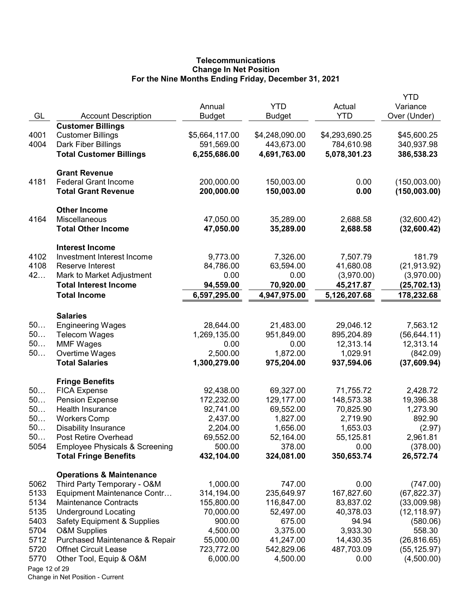# **Telecommunications** Change In Net Position For the Nine Months Ending Friday, December 31, 2021

| GL            | <b>Account Description</b>                          | Annual<br><b>Budget</b>   | <b>YTD</b><br><b>Budget</b> | Actual<br><b>YTD</b>      | YTD<br>Variance<br>Over (Under) |
|---------------|-----------------------------------------------------|---------------------------|-----------------------------|---------------------------|---------------------------------|
|               | <b>Customer Billings</b>                            |                           |                             |                           |                                 |
| 4001          | <b>Customer Billings</b>                            | \$5,664,117.00            | \$4,248,090.00              | \$4,293,690.25            | \$45,600.25                     |
| 4004          | Dark Fiber Billings                                 | 591,569.00                | 443,673.00                  | 784,610.98                | 340,937.98                      |
|               | <b>Total Customer Billings</b>                      | 6,255,686.00              | 4,691,763.00                | 5,078,301.23              | 386,538.23                      |
|               | <b>Grant Revenue</b>                                |                           |                             |                           |                                 |
| 4181          | <b>Federal Grant Income</b>                         | 200,000.00                | 150,003.00                  | 0.00                      | (150,003.00)                    |
|               | <b>Total Grant Revenue</b>                          | 200,000.00                | 150,003.00                  | 0.00                      | (150,003.00)                    |
|               | <b>Other Income</b>                                 |                           |                             |                           |                                 |
| 4164          | Miscellaneous                                       | 47,050.00                 | 35,289.00                   | 2,688.58                  | (32,600.42)                     |
|               | <b>Total Other Income</b>                           | 47,050.00                 | 35,289.00                   | 2,688.58                  | (32,600.42)                     |
|               | <b>Interest Income</b>                              |                           |                             |                           |                                 |
| 4102          | Investment Interest Income                          | 9,773.00                  | 7,326.00                    | 7,507.79                  | 181.79                          |
| 4108          | Reserve Interest                                    | 84,786.00                 | 63,594.00                   | 41,680.08                 | (21, 913.92)                    |
| 42            | Mark to Market Adjustment                           | 0.00                      | 0.00                        | (3,970.00)                | (3,970.00)                      |
|               | <b>Total Interest Income</b><br><b>Total Income</b> | 94,559.00<br>6,597,295.00 | 70,920.00<br>4,947,975.00   | 45,217.87<br>5,126,207.68 | (25, 702.13)<br>178,232.68      |
|               |                                                     |                           |                             |                           |                                 |
|               | <b>Salaries</b>                                     |                           |                             |                           |                                 |
| 50<br>50      | <b>Engineering Wages</b>                            | 28,644.00                 | 21,483.00                   | 29,046.12                 | 7,563.12                        |
| 50            | <b>Telecom Wages</b><br><b>MMF Wages</b>            | 1,269,135.00<br>0.00      | 951,849.00<br>0.00          | 895,204.89<br>12,313.14   | (56, 644.11)<br>12,313.14       |
| 50            | Overtime Wages                                      | 2,500.00                  | 1,872.00                    | 1,029.91                  | (842.09)                        |
|               | <b>Total Salaries</b>                               | 1,300,279.00              | 975,204.00                  | 937,594.06                | (37,609.94)                     |
|               |                                                     |                           |                             |                           |                                 |
|               | <b>Fringe Benefits</b>                              |                           |                             |                           |                                 |
| 50<br>50      | <b>FICA Expense</b>                                 | 92,438.00<br>172,232.00   | 69,327.00<br>129,177.00     | 71,755.72                 | 2,428.72                        |
| 50            | <b>Pension Expense</b><br>Health Insurance          | 92,741.00                 | 69,552.00                   | 148,573.38<br>70,825.90   | 19,396.38<br>1,273.90           |
| 50            | <b>Workers Comp</b>                                 | 2,437.00                  | 1,827.00                    | 2,719.90                  | 892.90                          |
| 50            | <b>Disability Insurance</b>                         | 2,204.00                  | 1,656.00                    | 1,653.03                  | (2.97)                          |
| 50            | Post Retire Overhead                                | 69,552.00                 | 52,164.00                   | 55,125.81                 | 2,961.81                        |
| 5054          | <b>Employee Physicals &amp; Screening</b>           | 500.00                    | 378.00                      | 0.00                      | (378.00)                        |
|               | <b>Total Fringe Benefits</b>                        | 432,104.00                | 324,081.00                  | 350,653.74                | 26,572.74                       |
|               | <b>Operations &amp; Maintenance</b>                 |                           |                             |                           |                                 |
| 5062          | Third Party Temporary - O&M                         | 1,000.00                  | 747.00                      | 0.00                      | (747.00)                        |
| 5133          | Equipment Maintenance Contr                         | 314,194.00                | 235,649.97                  | 167,827.60                | (67, 822.37)                    |
| 5134          | <b>Maintenance Contracts</b>                        | 155,800.00                | 116,847.00                  | 83,837.02                 | (33,009.98)                     |
| 5135          | <b>Underground Locating</b>                         | 70,000.00                 | 52,497.00                   | 40,378.03                 | (12, 118.97)                    |
| 5403          | <b>Safety Equipment &amp; Supplies</b>              | 900.00                    | 675.00                      | 94.94                     | (580.06)                        |
| 5704          | <b>O&amp;M Supplies</b>                             | 4,500.00                  | 3,375.00                    | 3,933.30                  | 558.30                          |
| 5712          | Purchased Maintenance & Repair                      | 55,000.00                 | 41,247.00                   | 14,430.35                 | (26, 816.65)                    |
| 5720          | <b>Offnet Circuit Lease</b>                         | 723,772.00                | 542,829.06                  | 487,703.09                | (55, 125.97)                    |
| 5770          | Other Tool, Equip & O&M                             | 6,000.00                  | 4,500.00                    | 0.00                      | (4,500.00)                      |
| Page 12 of 29 |                                                     |                           |                             |                           |                                 |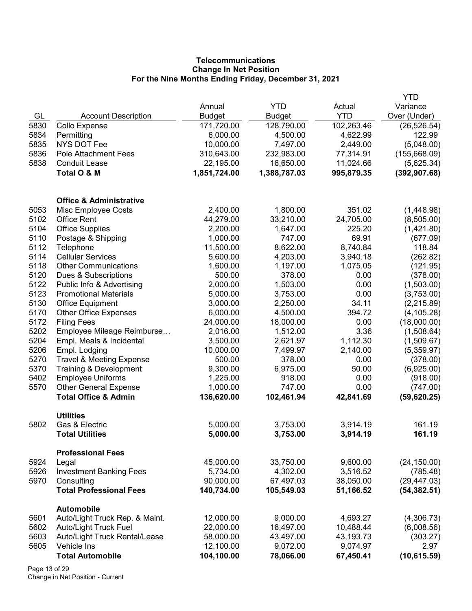# **Telecommunications** Change In Net Position For the Nine Months Ending Friday, December 31, 2021

|              |                                                        |                        |                       |                       | YTD                    |
|--------------|--------------------------------------------------------|------------------------|-----------------------|-----------------------|------------------------|
|              |                                                        | Annual                 | <b>YTD</b>            | Actual                | Variance               |
| GL           | <b>Account Description</b>                             | <b>Budget</b>          | <b>Budget</b>         | <b>YTD</b>            | Over (Under)           |
| 5830         | <b>Collo Expense</b>                                   | 171,720.00             | 128,790.00            | 102,263.46            | (26, 526.54)           |
| 5834         | Permitting                                             | 6,000.00               | 4,500.00              | 4,622.99              | 122.99                 |
| 5835         | <b>NYS DOT Fee</b>                                     | 10,000.00              | 7,497.00              | 2,449.00              | (5,048.00)             |
| 5836         | Pole Attachment Fees                                   | 310,643.00             | 232,983.00            | 77,314.91             | (155, 668.09)          |
| 5838         | <b>Conduit Lease</b>                                   | 22,195.00              | 16,650.00             | 11,024.66             | (5,625.34)             |
|              | Total O & M                                            | 1,851,724.00           | 1,388,787.03          | 995,879.35            | (392, 907.68)          |
|              | <b>Office &amp; Administrative</b>                     |                        |                       |                       |                        |
| 5053         | Misc Employee Costs                                    | 2,400.00               | 1,800.00              | 351.02                | (1,448.98)             |
| 5102         | <b>Office Rent</b>                                     | 44,279.00              | 33,210.00             | 24,705.00             | (8,505.00)             |
| 5104         | <b>Office Supplies</b>                                 | 2,200.00               | 1,647.00              | 225.20                | (1,421.80)             |
| 5110         | Postage & Shipping                                     | 1,000.00               | 747.00                | 69.91                 | (677.09)               |
| 5112         | Telephone                                              | 11,500.00              | 8,622.00              | 8,740.84              | 118.84                 |
| 5114         | <b>Cellular Services</b>                               | 5,600.00               | 4,203.00              | 3,940.18              | (262.82)               |
| 5118         | <b>Other Communications</b>                            | 1,600.00               | 1,197.00              | 1,075.05              | (121.95)               |
| 5120         | Dues & Subscriptions                                   | 500.00                 | 378.00                | 0.00                  | (378.00)               |
| 5122         | Public Info & Advertising                              | 2,000.00               | 1,503.00              | 0.00                  | (1,503.00)             |
| 5123         | <b>Promotional Materials</b>                           | 5,000.00               | 3,753.00              | 0.00                  | (3,753.00)             |
| 5130         | <b>Office Equipment</b>                                | 3,000.00               | 2,250.00              | 34.11                 | (2, 215.89)            |
| 5170         | <b>Other Office Expenses</b>                           | 6,000.00               | 4,500.00              | 394.72                | (4, 105.28)            |
| 5172         | <b>Filing Fees</b>                                     | 24,000.00              | 18,000.00             | 0.00                  | (18,000.00)            |
| 5202         | Employee Mileage Reimburse                             | 2,016.00               | 1,512.00              | 3.36                  | (1,508.64)             |
| 5204         | Empl. Meals & Incidental                               | 3,500.00               | 2,621.97              | 1,112.30              | (1,509.67)             |
| 5206         | Empl. Lodging                                          | 10,000.00              | 7,499.97              | 2,140.00              | (5,359.97)             |
| 5270         | <b>Travel &amp; Meeting Expense</b>                    | 500.00                 | 378.00                | 0.00                  | (378.00)               |
| 5370         | Training & Development                                 | 9,300.00               | 6,975.00              | 50.00                 | (6,925.00)             |
| 5402         | <b>Employee Uniforms</b>                               | 1,225.00               | 918.00                | 0.00                  | (918.00)               |
| 5570         | <b>Other General Expense</b>                           | 1,000.00               | 747.00                | 0.00                  | (747.00)               |
|              | <b>Total Office &amp; Admin</b>                        | 136,620.00             | 102,461.94            | 42,841.69             | (59,620.25)            |
|              | <b>Utilities</b>                                       |                        |                       |                       |                        |
| 5802         | Gas & Electric                                         | 5,000.00               | 3,753.00              | 3,914.19              | 161.19                 |
|              | <b>Total Utilities</b>                                 | 5,000.00               | 3,753.00              | 3,914.19              | 161.19                 |
|              | <b>Professional Fees</b>                               |                        |                       |                       |                        |
| 5924         | Legal                                                  | 45,000.00              | 33,750.00             | 9,600.00              | (24, 150.00)           |
| 5926         | <b>Investment Banking Fees</b>                         | 5,734.00               | 4,302.00              | 3,516.52              | (785.48)               |
| 5970         | Consulting                                             | 90,000.00              | 67,497.03             | 38,050.00             | (29, 447.03)           |
|              | <b>Total Professional Fees</b>                         | 140,734.00             | 105,549.03            | 51,166.52             | (54, 382.51)           |
|              | <b>Automobile</b>                                      |                        |                       |                       |                        |
| 5601<br>5602 | Auto/Light Truck Rep. & Maint.                         | 12,000.00<br>22,000.00 | 9,000.00<br>16,497.00 | 4,693.27<br>10,488.44 | (4,306.73)             |
| 5603         | Auto/Light Truck Fuel<br>Auto/Light Truck Rental/Lease | 58,000.00              | 43,497.00             | 43,193.73             | (6,008.56)<br>(303.27) |
| 5605         | Vehicle Ins                                            | 12,100.00              | 9,072.00              | 9,074.97              | 2.97                   |
|              | <b>Total Automobile</b>                                | 104,100.00             | 78,066.00             | 67,450.41             | (10, 615.59)           |
|              |                                                        |                        |                       |                       |                        |

Page 13 of 29 Change in Net Position - Current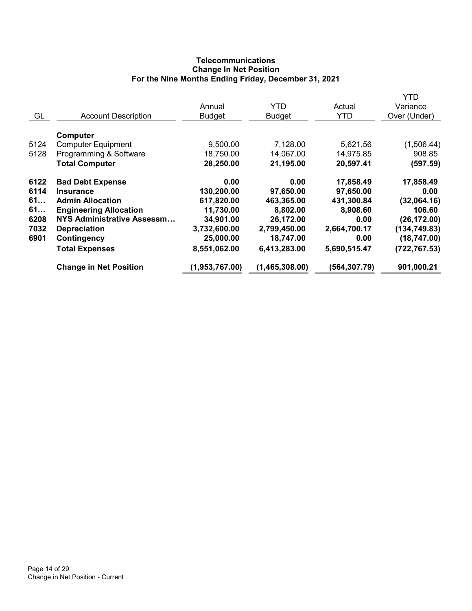# **Telecommunications** Change In Net Position For the Nine Months Ending Friday, December 31, 2021

|      |                               |                |                |               | YTD           |
|------|-------------------------------|----------------|----------------|---------------|---------------|
|      |                               | Annual         | YTD            | Actual        | Variance      |
| GL   | <b>Account Description</b>    | <b>Budget</b>  | <b>Budget</b>  | <b>YTD</b>    | Over (Under)  |
|      |                               |                |                |               |               |
|      | <b>Computer</b>               |                |                |               |               |
| 5124 | <b>Computer Equipment</b>     | 9,500.00       | 7,128.00       | 5,621.56      | (1,506.44)    |
| 5128 | Programming & Software        | 18,750.00      | 14,067.00      | 14,975.85     | 908.85        |
|      | <b>Total Computer</b>         | 28,250.00      | 21,195.00      | 20,597.41     | (597.59)      |
| 6122 | <b>Bad Debt Expense</b>       | 0.00           | 0.00           | 17,858.49     | 17,858.49     |
| 6114 | <b>Insurance</b>              | 130,200.00     | 97,650.00      | 97,650.00     | 0.00          |
| 61   | <b>Admin Allocation</b>       | 617,820.00     | 463,365.00     | 431,300.84    | (32,064.16)   |
| 61   | <b>Engineering Allocation</b> | 11,730.00      | 8,802.00       | 8,908.60      | 106.60        |
| 6208 | NYS Administrative Assessm    | 34,901.00      | 26,172.00      | 0.00          | (26, 172.00)  |
| 7032 | <b>Depreciation</b>           | 3,732,600.00   | 2,799,450.00   | 2,664,700.17  | (134, 749.83) |
| 6901 | <b>Contingency</b>            | 25,000.00      | 18,747.00      | 0.00          | (18, 747.00)  |
|      | <b>Total Expenses</b>         | 8,551,062.00   | 6,413,283.00   | 5,690,515.47  | (722, 767.53) |
|      | <b>Change in Net Position</b> | (1,953,767.00) | (1,465,308.00) | (564, 307.79) | 901,000.21    |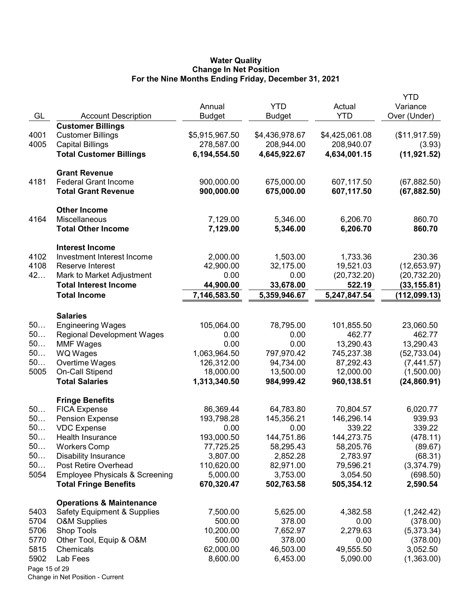#### Water Quality Change In Net Position For the Nine Months Ending Friday, December 31, 2021

|               |                                           |                |                |                | <b>YTD</b>    |
|---------------|-------------------------------------------|----------------|----------------|----------------|---------------|
|               |                                           | Annual         | <b>YTD</b>     | Actual         | Variance      |
| GL            | <b>Account Description</b>                | <b>Budget</b>  | Budget         | <b>YTD</b>     | Over (Under)  |
|               | <b>Customer Billings</b>                  |                |                |                |               |
| 4001          | <b>Customer Billings</b>                  | \$5,915,967.50 | \$4,436,978.67 | \$4,425,061.08 | (\$11,917.59) |
| 4005          | <b>Capital Billings</b>                   | 278,587.00     | 208,944.00     | 208,940.07     | (3.93)        |
|               | <b>Total Customer Billings</b>            | 6,194,554.50   | 4,645,922.67   | 4,634,001.15   | (11, 921.52)  |
|               |                                           |                |                |                |               |
|               | <b>Grant Revenue</b>                      |                |                |                |               |
| 4181          | <b>Federal Grant Income</b>               | 900,000.00     | 675,000.00     | 607,117.50     | (67, 882.50)  |
|               | <b>Total Grant Revenue</b>                | 900,000.00     | 675,000.00     | 607,117.50     | (67, 882.50)  |
|               |                                           |                |                |                |               |
|               | <b>Other Income</b>                       |                |                |                |               |
| 4164          | Miscellaneous                             | 7,129.00       | 5,346.00       | 6,206.70       | 860.70        |
|               | <b>Total Other Income</b>                 | 7,129.00       | 5,346.00       | 6,206.70       | 860.70        |
|               |                                           |                |                |                |               |
|               | <b>Interest Income</b>                    |                |                |                |               |
| 4102          | Investment Interest Income                | 2,000.00       | 1,503.00       | 1,733.36       | 230.36        |
| 4108          | Reserve Interest                          | 42,900.00      | 32,175.00      | 19,521.03      | (12,653.97)   |
| 42            | Mark to Market Adjustment                 | 0.00           | 0.00           | (20, 732.20)   | (20, 732.20)  |
|               | <b>Total Interest Income</b>              | 44,900.00      | 33,678.00      | 522.19         | (33, 155.81)  |
|               | <b>Total Income</b>                       | 7,146,583.50   | 5,359,946.67   | 5,247,847.54   | (112, 099.13) |
|               |                                           |                |                |                |               |
|               | <b>Salaries</b>                           |                |                |                |               |
| 50            | <b>Engineering Wages</b>                  | 105,064.00     | 78,795.00      | 101,855.50     | 23,060.50     |
| 50            | <b>Regional Development Wages</b>         | 0.00           | 0.00           | 462.77         | 462.77        |
| 50            | <b>MMF Wages</b>                          | 0.00           | 0.00           | 13,290.43      | 13,290.43     |
| 50            | WQ Wages                                  | 1,063,964.50   | 797,970.42     | 745,237.38     | (52, 733.04)  |
| 50            | Overtime Wages                            | 126,312.00     | 94,734.00      | 87,292.43      | (7,441.57)    |
| 5005          | On-Call Stipend                           | 18,000.00      | 13,500.00      | 12,000.00      | (1,500.00)    |
|               | <b>Total Salaries</b>                     | 1,313,340.50   | 984,999.42     | 960,138.51     | (24, 860.91)  |
|               |                                           |                |                |                |               |
|               | <b>Fringe Benefits</b>                    |                |                |                |               |
| 50            | <b>FICA Expense</b>                       | 86,369.44      | 64,783.80      | 70,804.57      | 6,020.77      |
| 50            | <b>Pension Expense</b>                    | 193,798.28     | 145,356.21     | 146,296.14     | 939.93        |
| 50            | <b>VDC Expense</b>                        | 0.00           | 0.00           | 339.22         | 339.22        |
| 50            | Health Insurance                          | 193,000.50     | 144,751.86     | 144,273.75     | (478.11)      |
| 50            | <b>Workers Comp</b>                       | 77,725.25      | 58,295.43      | 58,205.76      | (89.67)       |
| 50            | <b>Disability Insurance</b>               | 3,807.00       | 2,852.28       | 2,783.97       | (68.31)       |
| 50            | Post Retire Overhead                      | 110,620.00     | 82,971.00      | 79,596.21      | (3,374.79)    |
| 5054          | <b>Employee Physicals &amp; Screening</b> | 5,000.00       | 3,753.00       | 3,054.50       | (698.50)      |
|               | <b>Total Fringe Benefits</b>              | 670,320.47     | 502,763.58     | 505,354.12     | 2,590.54      |
|               |                                           |                |                |                |               |
|               | <b>Operations &amp; Maintenance</b>       |                |                |                |               |
| 5403          | <b>Safety Equipment &amp; Supplies</b>    | 7,500.00       | 5,625.00       | 4,382.58       | (1,242.42)    |
| 5704          | <b>O&amp;M Supplies</b>                   | 500.00         | 378.00         | 0.00           | (378.00)      |
| 5706          | Shop Tools                                | 10,200.00      | 7,652.97       | 2,279.63       | (5,373.34)    |
| 5770          | Other Tool, Equip & O&M                   | 500.00         | 378.00         | 0.00           | (378.00)      |
| 5815          | Chemicals                                 | 62,000.00      | 46,503.00      | 49,555.50      | 3,052.50      |
| 5902          | Lab Fees                                  | 8,600.00       | 6,453.00       | 5,090.00       | (1,363.00)    |
| Page 15 of 29 |                                           |                |                |                |               |
|               |                                           |                |                |                |               |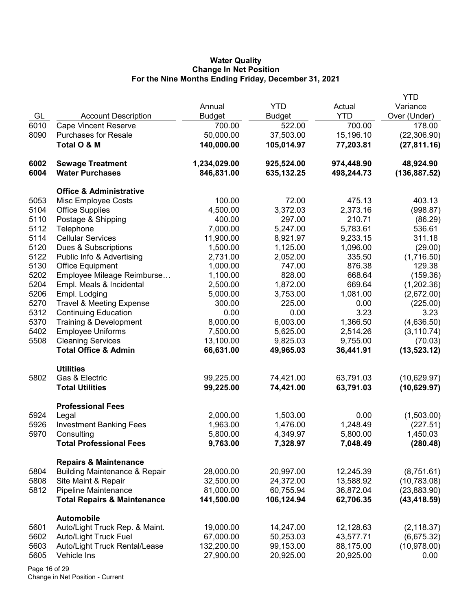## Water Quality Change In Net Position For the Nine Months Ending Friday, December 31, 2021

|      |                                          |               |               |            | YTD           |
|------|------------------------------------------|---------------|---------------|------------|---------------|
|      |                                          | Annual        | <b>YTD</b>    | Actual     | Variance      |
| GL   | <b>Account Description</b>               | <b>Budget</b> | <b>Budget</b> | <b>YTD</b> | Over (Under)  |
| 6010 | <b>Cape Vincent Reserve</b>              | 700.00        | 522.00        | 700.00     | 178.00        |
| 8090 | <b>Purchases for Resale</b>              | 50,000.00     | 37,503.00     | 15,196.10  | (22, 306.90)  |
|      | Total O & M                              | 140,000.00    | 105,014.97    | 77,203.81  | (27, 811.16)  |
|      |                                          |               |               |            |               |
| 6002 | <b>Sewage Treatment</b>                  | 1,234,029.00  | 925,524.00    | 974,448.90 | 48,924.90     |
| 6004 | <b>Water Purchases</b>                   | 846,831.00    | 635,132.25    | 498,244.73 | (136, 887.52) |
|      |                                          |               |               |            |               |
|      | <b>Office &amp; Administrative</b>       |               |               |            |               |
| 5053 | Misc Employee Costs                      | 100.00        | 72.00         | 475.13     | 403.13        |
| 5104 | <b>Office Supplies</b>                   | 4,500.00      | 3,372.03      | 2,373.16   | (998.87)      |
| 5110 | Postage & Shipping                       | 400.00        | 297.00        | 210.71     | (86.29)       |
| 5112 | Telephone                                | 7,000.00      | 5,247.00      | 5,783.61   | 536.61        |
| 5114 | <b>Cellular Services</b>                 | 11,900.00     | 8,921.97      | 9,233.15   | 311.18        |
| 5120 | Dues & Subscriptions                     | 1,500.00      | 1,125.00      | 1,096.00   | (29.00)       |
| 5122 |                                          |               |               | 335.50     |               |
|      | Public Info & Advertising                | 2,731.00      | 2,052.00      |            | (1,716.50)    |
| 5130 | <b>Office Equipment</b>                  | 1,000.00      | 747.00        | 876.38     | 129.38        |
| 5202 | Employee Mileage Reimburse               | 1,100.00      | 828.00        | 668.64     | (159.36)      |
| 5204 | Empl. Meals & Incidental                 | 2,500.00      | 1,872.00      | 669.64     | (1,202.36)    |
| 5206 | Empl. Lodging                            | 5,000.00      | 3,753.00      | 1,081.00   | (2,672.00)    |
| 5270 | <b>Travel &amp; Meeting Expense</b>      | 300.00        | 225.00        | 0.00       | (225.00)      |
| 5312 | <b>Continuing Education</b>              | 0.00          | 0.00          | 3.23       | 3.23          |
| 5370 | Training & Development                   | 8,000.00      | 6,003.00      | 1,366.50   | (4,636.50)    |
| 5402 | <b>Employee Uniforms</b>                 | 7,500.00      | 5,625.00      | 2,514.26   | (3, 110.74)   |
| 5508 | <b>Cleaning Services</b>                 | 13,100.00     | 9,825.03      | 9,755.00   | (70.03)       |
|      | <b>Total Office &amp; Admin</b>          | 66,631.00     | 49,965.03     | 36,441.91  | (13, 523.12)  |
|      |                                          |               |               |            |               |
|      | <b>Utilities</b>                         |               |               |            |               |
| 5802 | Gas & Electric                           | 99,225.00     | 74,421.00     | 63,791.03  | (10,629.97)   |
|      | <b>Total Utilities</b>                   | 99,225.00     | 74,421.00     | 63,791.03  | (10,629.97)   |
|      |                                          |               |               |            |               |
|      | <b>Professional Fees</b>                 |               |               |            |               |
| 5924 | Legal                                    | 2,000.00      | 1,503.00      | 0.00       | (1,503.00)    |
| 5926 | <b>Investment Banking Fees</b>           | 1,963.00      | 1,476.00      | 1,248.49   | (227.51)      |
| 5970 | Consulting                               | 5,800.00      | 4,349.97      | 5,800.00   | 1,450.03      |
|      | <b>Total Professional Fees</b>           | 9,763.00      | 7,328.97      | 7,048.49   | (280.48)      |
|      |                                          |               |               |            |               |
|      | <b>Repairs &amp; Maintenance</b>         |               |               |            |               |
| 5804 | <b>Building Maintenance &amp; Repair</b> | 28,000.00     | 20,997.00     | 12,245.39  | (8,751.61)    |
| 5808 | Site Maint & Repair                      | 32,500.00     | 24,372.00     | 13,588.92  | (10, 783.08)  |
| 5812 | Pipeline Maintenance                     | 81,000.00     | 60,755.94     | 36,872.04  | (23,883.90)   |
|      | <b>Total Repairs &amp; Maintenance</b>   | 141,500.00    | 106,124.94    | 62,706.35  | (43, 418.59)  |
|      |                                          |               |               |            |               |
|      | <b>Automobile</b>                        |               |               |            |               |
| 5601 | Auto/Light Truck Rep. & Maint.           | 19,000.00     | 14,247.00     | 12,128.63  | (2, 118.37)   |
| 5602 | Auto/Light Truck Fuel                    | 67,000.00     | 50,253.03     | 43,577.71  | (6,675.32)    |
| 5603 | Auto/Light Truck Rental/Lease            | 132,200.00    | 99,153.00     | 88,175.00  | (10, 978.00)  |
| 5605 | Vehicle Ins                              | 27,900.00     | 20,925.00     | 20,925.00  | 0.00          |
|      |                                          |               |               |            |               |

Page 16 of 29 Change in Net Position - Current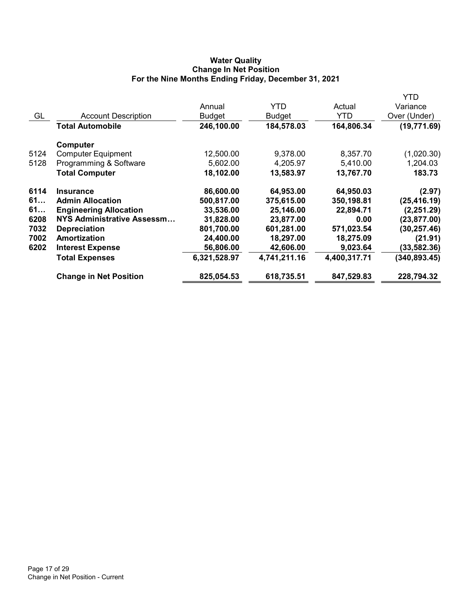# Water Quality Change In Net Position For the Nine Months Ending Friday, December 31, 2021

|      |                               |              |              |              | YTD           |
|------|-------------------------------|--------------|--------------|--------------|---------------|
|      |                               | Annual       | <b>YTD</b>   | Actual       | Variance      |
| GL   | <b>Account Description</b>    | Budget       | Budget       | YTD          | Over (Under)  |
|      | Total Automobile              | 246,100.00   | 184,578.03   | 164,806.34   | (19, 771.69)  |
|      | Computer                      |              |              |              |               |
| 5124 | <b>Computer Equipment</b>     | 12,500.00    | 9,378.00     | 8,357.70     | (1,020.30)    |
| 5128 | Programming & Software        | 5,602.00     | 4,205.97     | 5,410.00     | 1,204.03      |
|      | <b>Total Computer</b>         | 18,102.00    | 13,583.97    | 13,767.70    | 183.73        |
| 6114 | <b>Insurance</b>              | 86,600.00    | 64,953.00    | 64,950.03    | (2.97)        |
| 61   | <b>Admin Allocation</b>       | 500,817.00   | 375,615.00   | 350,198.81   | (25, 416.19)  |
| 61   | <b>Engineering Allocation</b> | 33,536.00    | 25,146.00    | 22,894.71    | (2, 251.29)   |
| 6208 | NYS Administrative Assessm    | 31,828.00    | 23,877.00    | 0.00         | (23, 877.00)  |
| 7032 | <b>Depreciation</b>           | 801,700.00   | 601,281.00   | 571,023.54   | (30, 257.46)  |
| 7002 | Amortization                  | 24,400.00    | 18,297.00    | 18,275.09    | (21.91)       |
| 6202 | <b>Interest Expense</b>       | 56,806.00    | 42,606.00    | 9,023.64     | (33, 582.36)  |
|      | <b>Total Expenses</b>         | 6,321,528.97 | 4,741,211.16 | 4,400,317.71 | (340, 893.45) |
|      | <b>Change in Net Position</b> | 825,054.53   | 618,735.51   | 847,529.83   | 228,794.32    |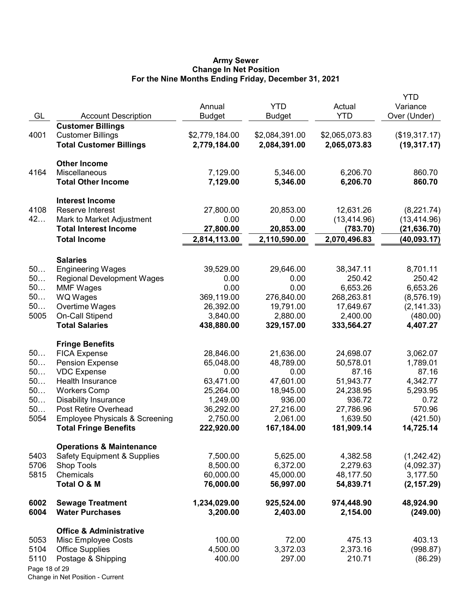#### Army Sewer Change In Net Position For the Nine Months Ending Friday, December 31, 2021

| GL                                             | <b>Account Description</b>                                                                                                                                                                                                                                                   | Annual<br><b>Budget</b>                                                                                     | <b>YTD</b><br>Budget                                                                                      | Actual<br><b>YTD</b>                                                                                       | YTD<br>Variance<br>Over (Under)                                                                  |
|------------------------------------------------|------------------------------------------------------------------------------------------------------------------------------------------------------------------------------------------------------------------------------------------------------------------------------|-------------------------------------------------------------------------------------------------------------|-----------------------------------------------------------------------------------------------------------|------------------------------------------------------------------------------------------------------------|--------------------------------------------------------------------------------------------------|
| 4001                                           | <b>Customer Billings</b><br><b>Customer Billings</b><br><b>Total Customer Billings</b>                                                                                                                                                                                       | \$2,779,184.00<br>2,779,184.00                                                                              | \$2,084,391.00<br>2,084,391.00                                                                            | \$2,065,073.83<br>2,065,073.83                                                                             | (\$19,317.17)<br>(19, 317.17)                                                                    |
| 4164                                           | <b>Other Income</b><br>Miscellaneous<br><b>Total Other Income</b>                                                                                                                                                                                                            | 7,129.00<br>7,129.00                                                                                        | 5,346.00<br>5,346.00                                                                                      | 6,206.70<br>6,206.70                                                                                       | 860.70<br>860.70                                                                                 |
| 4108<br>42                                     | <b>Interest Income</b><br>Reserve Interest<br>Mark to Market Adjustment<br><b>Total Interest Income</b>                                                                                                                                                                      | 27,800.00<br>0.00<br>27,800.00                                                                              | 20,853.00<br>0.00<br>20,853.00                                                                            | 12,631.26<br>(13, 414.96)<br>(783.70)                                                                      | (8,221.74)<br>(13, 414.96)<br>(21, 636.70)                                                       |
|                                                | <b>Total Income</b>                                                                                                                                                                                                                                                          | 2,814,113.00                                                                                                | 2,110,590.00                                                                                              | 2,070,496.83                                                                                               | (40, 093.17)                                                                                     |
| 50<br>50<br>50<br>50<br>50<br>5005             | <b>Salaries</b><br><b>Engineering Wages</b><br><b>Regional Development Wages</b><br><b>MMF Wages</b><br>WQ Wages<br>Overtime Wages<br>On-Call Stipend<br><b>Total Salaries</b>                                                                                               | 39,529.00<br>0.00<br>0.00<br>369,119.00<br>26,392.00<br>3,840.00<br>438,880.00                              | 29,646.00<br>0.00<br>0.00<br>276,840.00<br>19,791.00<br>2,880.00<br>329,157.00                            | 38,347.11<br>250.42<br>6,653.26<br>268,263.81<br>17,649.67<br>2,400.00<br>333,564.27                       | 8,701.11<br>250.42<br>6,653.26<br>(8, 576.19)<br>(2, 141.33)<br>(480.00)<br>4,407.27             |
| 50<br>50<br>50<br>50<br>50<br>50<br>50<br>5054 | <b>Fringe Benefits</b><br><b>FICA Expense</b><br><b>Pension Expense</b><br><b>VDC Expense</b><br>Health Insurance<br><b>Workers Comp</b><br><b>Disability Insurance</b><br>Post Retire Overhead<br><b>Employee Physicals &amp; Screening</b><br><b>Total Fringe Benefits</b> | 28,846.00<br>65,048.00<br>0.00<br>63,471.00<br>25,264.00<br>1,249.00<br>36,292.00<br>2,750.00<br>222,920.00 | 21,636.00<br>48,789.00<br>0.00<br>47,601.00<br>18,945.00<br>936.00<br>27,216.00<br>2,061.00<br>167,184.00 | 24,698.07<br>50,578.01<br>87.16<br>51,943.77<br>24,238.95<br>936.72<br>27,786.96<br>1,639.50<br>181,909.14 | 3,062.07<br>1,789.01<br>87.16<br>4,342.77<br>5,293.95<br>0.72<br>570.96<br>(421.50)<br>14,725.14 |
| 5403<br>5706<br>5815                           | <b>Operations &amp; Maintenance</b><br><b>Safety Equipment &amp; Supplies</b><br>Shop Tools<br>Chemicals<br>Total O & M                                                                                                                                                      | 7,500.00<br>8,500.00<br>60,000.00<br>76,000.00                                                              | 5,625.00<br>6,372.00<br>45,000.00<br>56,997.00                                                            | 4,382.58<br>2,279.63<br>48,177.50<br>54,839.71                                                             | (1,242.42)<br>(4,092.37)<br>3,177.50<br>(2, 157.29)                                              |
| 6002<br>6004                                   | <b>Sewage Treatment</b><br><b>Water Purchases</b>                                                                                                                                                                                                                            | 1,234,029.00<br>3,200.00                                                                                    | 925,524.00<br>2,403.00                                                                                    | 974,448.90<br>2,154.00                                                                                     | 48,924.90<br>(249.00)                                                                            |
| 5053<br>5104<br>5110<br>Page 18 of 29          | <b>Office &amp; Administrative</b><br>Misc Employee Costs<br><b>Office Supplies</b><br>Postage & Shipping                                                                                                                                                                    | 100.00<br>4,500.00<br>400.00                                                                                | 72.00<br>3,372.03<br>297.00                                                                               | 475.13<br>2,373.16<br>210.71                                                                               | 403.13<br>(998.87)<br>(86.29)                                                                    |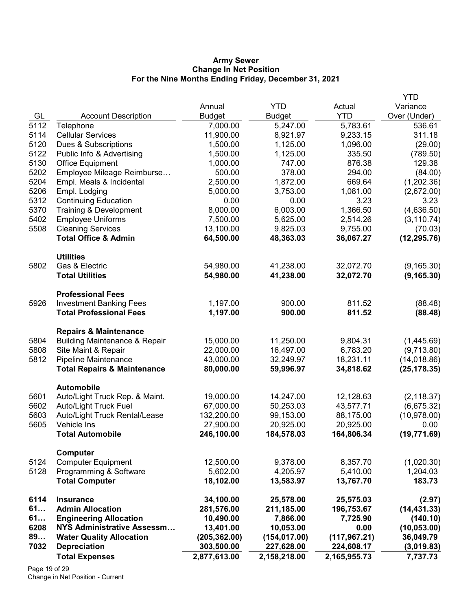### Army Sewer Change In Net Position For the Nine Months Ending Friday, December 31, 2021

|      |                                          |               |               |               | <b>YTD</b>   |
|------|------------------------------------------|---------------|---------------|---------------|--------------|
|      |                                          | Annual        | <b>YTD</b>    | Actual        | Variance     |
| GL   | <b>Account Description</b>               | <b>Budget</b> | <b>Budget</b> | <b>YTD</b>    | Over (Under) |
| 5112 | Telephone                                | 7,000.00      | 5,247.00      | 5,783.61      | 536.61       |
| 5114 | <b>Cellular Services</b>                 | 11,900.00     | 8,921.97      | 9,233.15      | 311.18       |
| 5120 | Dues & Subscriptions                     | 1,500.00      | 1,125.00      | 1,096.00      | (29.00)      |
| 5122 | Public Info & Advertising                | 1,500.00      | 1,125.00      | 335.50        | (789.50)     |
| 5130 | Office Equipment                         | 1,000.00      | 747.00        | 876.38        | 129.38       |
| 5202 | Employee Mileage Reimburse               | 500.00        | 378.00        | 294.00        | (84.00)      |
| 5204 | Empl. Meals & Incidental                 | 2,500.00      | 1,872.00      | 669.64        | (1,202.36)   |
| 5206 | Empl. Lodging                            | 5,000.00      | 3,753.00      | 1,081.00      | (2,672.00)   |
| 5312 | <b>Continuing Education</b>              | 0.00          | 0.00          | 3.23          | 3.23         |
| 5370 | Training & Development                   | 8,000.00      | 6,003.00      | 1,366.50      | (4,636.50)   |
| 5402 | <b>Employee Uniforms</b>                 | 7,500.00      | 5,625.00      | 2,514.26      | (3, 110.74)  |
| 5508 | <b>Cleaning Services</b>                 | 13,100.00     | 9,825.03      | 9,755.00      | (70.03)      |
|      | <b>Total Office &amp; Admin</b>          | 64,500.00     | 48,363.03     | 36,067.27     | (12, 295.76) |
|      | <b>Utilities</b>                         |               |               |               |              |
| 5802 | Gas & Electric                           | 54,980.00     | 41,238.00     | 32,072.70     | (9, 165.30)  |
|      | <b>Total Utilities</b>                   | 54,980.00     | 41,238.00     | 32,072.70     | (9, 165.30)  |
|      | <b>Professional Fees</b>                 |               |               |               |              |
| 5926 | <b>Investment Banking Fees</b>           | 1,197.00      | 900.00        | 811.52        | (88.48)      |
|      | <b>Total Professional Fees</b>           | 1,197.00      | 900.00        | 811.52        | (88.48)      |
|      | <b>Repairs &amp; Maintenance</b>         |               |               |               |              |
| 5804 | <b>Building Maintenance &amp; Repair</b> | 15,000.00     | 11,250.00     | 9,804.31      | (1,445.69)   |
| 5808 | Site Maint & Repair                      | 22,000.00     | 16,497.00     | 6,783.20      | (9,713.80)   |
| 5812 | Pipeline Maintenance                     | 43,000.00     | 32,249.97     | 18,231.11     | (14,018.86)  |
|      | <b>Total Repairs &amp; Maintenance</b>   | 80,000.00     | 59,996.97     | 34,818.62     | (25, 178.35) |
|      | <b>Automobile</b>                        |               |               |               |              |
| 5601 | Auto/Light Truck Rep. & Maint.           | 19,000.00     | 14,247.00     | 12,128.63     | (2, 118.37)  |
| 5602 | Auto/Light Truck Fuel                    | 67,000.00     | 50,253.03     | 43,577.71     | (6,675.32)   |
| 5603 | Auto/Light Truck Rental/Lease            | 132,200.00    | 99,153.00     | 88,175.00     | (10, 978.00) |
| 5605 | Vehicle Ins                              | 27,900.00     | 20,925.00     | 20,925.00     | 0.00         |
|      | <b>Total Automobile</b>                  | 246,100.00    | 184,578.03    | 164,806.34    | (19, 771.69) |
|      | Computer                                 |               |               |               |              |
| 5124 | <b>Computer Equipment</b>                | 12,500.00     | 9,378.00      | 8,357.70      | (1,020.30)   |
| 5128 | Programming & Software                   | 5,602.00      | 4,205.97      | 5,410.00      | 1,204.03     |
|      | <b>Total Computer</b>                    | 18,102.00     | 13,583.97     | 13,767.70     | 183.73       |
| 6114 | <b>Insurance</b>                         | 34,100.00     | 25,578.00     | 25,575.03     | (2.97)       |
| 61   | <b>Admin Allocation</b>                  | 281,576.00    | 211,185.00    | 196,753.67    | (14, 431.33) |
| 61   | <b>Engineering Allocation</b>            | 10,490.00     | 7,866.00      | 7,725.90      | (140.10)     |
| 6208 | <b>NYS Administrative Assessm</b>        | 13,401.00     | 10,053.00     | 0.00          | (10, 053.00) |
| 89   | <b>Water Quality Allocation</b>          | (205, 362.00) | (154, 017.00) | (117, 967.21) | 36,049.79    |
| 7032 | <b>Depreciation</b>                      | 303,500.00    | 227,628.00    | 224,608.17    | (3,019.83)   |
|      | <b>Total Expenses</b>                    | 2,877,613.00  | 2,158,218.00  | 2,165,955.73  | 7,737.73     |
|      |                                          |               |               |               |              |

Page 19 of 29 Change in Net Position - Current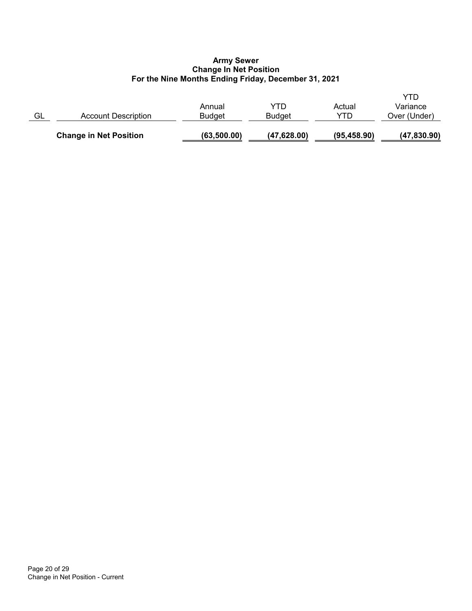## Army Sewer Change In Net Position For the Nine Months Ending Friday, December 31, 2021

|    | <b>Change in Net Position</b> | (63, 500.00)            | (47,628.00)          | (95, 458.90)  | (47,830.90)                     |
|----|-------------------------------|-------------------------|----------------------|---------------|---------------------------------|
| GL | Account Description           | Annual<br><b>Budget</b> | YTD<br><b>Budget</b> | Actual<br>YTD | YTD<br>Variance<br>Over (Under) |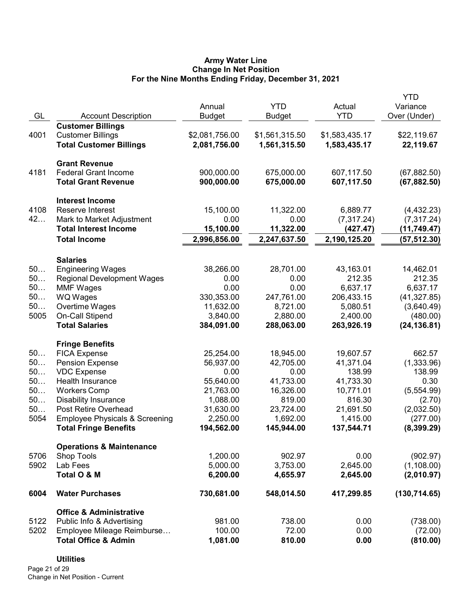## Army Water Line Change In Net Position For the Nine Months Ending Friday, December 31, 2021

|      |                                           |                |                |                | YTD           |
|------|-------------------------------------------|----------------|----------------|----------------|---------------|
|      |                                           | Annual         | <b>YTD</b>     | Actual         | Variance      |
| GL   | <b>Account Description</b>                | <b>Budget</b>  | <b>Budget</b>  | <b>YTD</b>     | Over (Under)  |
|      | <b>Customer Billings</b>                  |                |                |                |               |
| 4001 | <b>Customer Billings</b>                  | \$2,081,756.00 | \$1,561,315.50 | \$1,583,435.17 | \$22,119.67   |
|      | <b>Total Customer Billings</b>            | 2,081,756.00   | 1,561,315.50   | 1,583,435.17   | 22,119.67     |
|      | <b>Grant Revenue</b>                      |                |                |                |               |
| 4181 | <b>Federal Grant Income</b>               | 900,000.00     | 675,000.00     | 607,117.50     | (67, 882.50)  |
|      | <b>Total Grant Revenue</b>                | 900,000.00     | 675,000.00     | 607,117.50     | (67, 882.50)  |
|      | <b>Interest Income</b>                    |                |                |                |               |
| 4108 | Reserve Interest                          | 15,100.00      | 11,322.00      | 6,889.77       | (4,432.23)    |
| 42   | Mark to Market Adjustment                 | 0.00           | 0.00           | (7, 317.24)    | (7,317.24)    |
|      | <b>Total Interest Income</b>              | 15,100.00      | 11,322.00      | (427.47)       | (11, 749.47)  |
|      | <b>Total Income</b>                       | 2,996,856.00   | 2,247,637.50   | 2,190,125.20   | (57, 512.30)  |
|      | <b>Salaries</b>                           |                |                |                |               |
| 50   | <b>Engineering Wages</b>                  | 38,266.00      | 28,701.00      | 43,163.01      | 14,462.01     |
| 50   | <b>Regional Development Wages</b>         | 0.00           | 0.00           | 212.35         | 212.35        |
| 50   | <b>MMF Wages</b>                          | 0.00           | 0.00           | 6,637.17       | 6,637.17      |
| 50   | <b>WQ Wages</b>                           | 330,353.00     | 247,761.00     | 206,433.15     | (41, 327.85)  |
| 50   | Overtime Wages                            | 11,632.00      | 8,721.00       | 5,080.51       | (3,640.49)    |
| 5005 | On-Call Stipend                           | 3,840.00       | 2,880.00       | 2,400.00       | (480.00)      |
|      | <b>Total Salaries</b>                     | 384,091.00     | 288,063.00     | 263,926.19     | (24, 136.81)  |
|      | <b>Fringe Benefits</b>                    |                |                |                |               |
| 50   | <b>FICA Expense</b>                       | 25,254.00      | 18,945.00      | 19,607.57      | 662.57        |
| 50   | <b>Pension Expense</b>                    | 56,937.00      | 42,705.00      | 41,371.04      | (1,333.96)    |
| 50   | <b>VDC Expense</b>                        | 0.00           | 0.00           | 138.99         | 138.99        |
| 50   | Health Insurance                          | 55,640.00      | 41,733.00      | 41,733.30      | 0.30          |
| 50   | <b>Workers Comp</b>                       | 21,763.00      | 16,326.00      | 10,771.01      | (5,554.99)    |
| 50   | <b>Disability Insurance</b>               | 1,088.00       | 819.00         | 816.30         | (2.70)        |
| 50   | Post Retire Overhead                      | 31,630.00      | 23,724.00      | 21,691.50      | (2,032.50)    |
| 5054 | <b>Employee Physicals &amp; Screening</b> | 2,250.00       | 1,692.00       | 1,415.00       | (277.00)      |
|      | <b>Total Fringe Benefits</b>              | 194,562.00     | 145,944.00     | 137,544.71     | (8,399.29)    |
|      | <b>Operations &amp; Maintenance</b>       |                |                |                |               |
| 5706 | <b>Shop Tools</b>                         | 1,200.00       | 902.97         | 0.00           | (902.97)      |
| 5902 | Lab Fees                                  | 5,000.00       | 3,753.00       | 2,645.00       | (1, 108.00)   |
|      | Total O & M                               | 6,200.00       | 4,655.97       | 2,645.00       | (2,010.97)    |
| 6004 | <b>Water Purchases</b>                    | 730,681.00     | 548,014.50     | 417,299.85     | (130, 714.65) |
|      | <b>Office &amp; Administrative</b>        |                |                |                |               |
| 5122 | Public Info & Advertising                 | 981.00         | 738.00         | 0.00           | (738.00)      |
| 5202 | Employee Mileage Reimburse                | 100.00         | 72.00          | 0.00           | (72.00)       |
|      | <b>Total Office &amp; Admin</b>           | 1,081.00       | 810.00         | 0.00           | (810.00)      |

## **Utilities**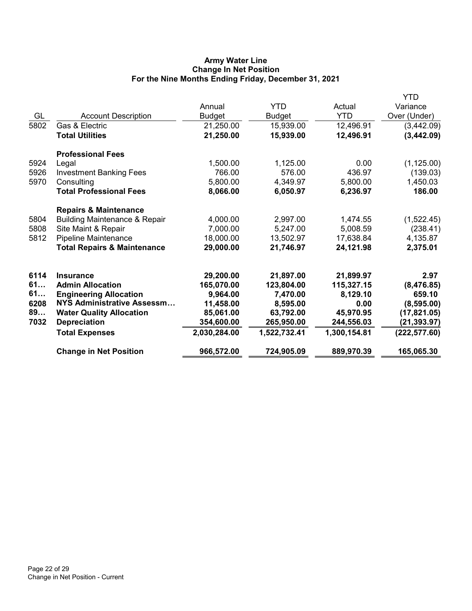# Army Water Line Change In Net Position For the Nine Months Ending Friday, December 31, 2021

|                                          |                                                                                                                                                                                               |                                                                                             |                                                                                            | YTD                                                                                    |
|------------------------------------------|-----------------------------------------------------------------------------------------------------------------------------------------------------------------------------------------------|---------------------------------------------------------------------------------------------|--------------------------------------------------------------------------------------------|----------------------------------------------------------------------------------------|
|                                          | Annual                                                                                                                                                                                        | <b>YTD</b>                                                                                  | Actual                                                                                     | Variance                                                                               |
| <b>Account Description</b>               | <b>Budget</b>                                                                                                                                                                                 | <b>Budget</b>                                                                               | <b>YTD</b>                                                                                 | Over (Under)                                                                           |
| Gas & Electric                           | 21,250.00                                                                                                                                                                                     | 15,939.00                                                                                   | 12,496.91                                                                                  | (3,442.09)                                                                             |
| <b>Total Utilities</b>                   | 21,250.00                                                                                                                                                                                     | 15,939.00                                                                                   | 12,496.91                                                                                  | (3,442.09)                                                                             |
| <b>Professional Fees</b>                 |                                                                                                                                                                                               |                                                                                             |                                                                                            |                                                                                        |
| Legal                                    | 1,500.00                                                                                                                                                                                      | 1,125.00                                                                                    | 0.00                                                                                       | (1, 125.00)                                                                            |
| <b>Investment Banking Fees</b>           | 766.00                                                                                                                                                                                        | 576.00                                                                                      | 436.97                                                                                     | (139.03)                                                                               |
| Consulting                               | 5,800.00                                                                                                                                                                                      | 4,349.97                                                                                    | 5,800.00                                                                                   | 1,450.03                                                                               |
| <b>Total Professional Fees</b>           | 8,066.00                                                                                                                                                                                      | 6,050.97                                                                                    | 6,236.97                                                                                   | 186.00                                                                                 |
| <b>Repairs &amp; Maintenance</b>         |                                                                                                                                                                                               |                                                                                             |                                                                                            |                                                                                        |
| <b>Building Maintenance &amp; Repair</b> | 4,000.00                                                                                                                                                                                      | 2,997.00                                                                                    | 1,474.55                                                                                   | (1,522.45)                                                                             |
| Site Maint & Repair                      | 7,000.00                                                                                                                                                                                      | 5,247.00                                                                                    | 5,008.59                                                                                   | (238.41)                                                                               |
| Pipeline Maintenance                     | 18,000.00                                                                                                                                                                                     | 13,502.97                                                                                   | 17,638.84                                                                                  | 4,135.87                                                                               |
| <b>Total Repairs &amp; Maintenance</b>   | 29,000.00                                                                                                                                                                                     | 21,746.97                                                                                   | 24,121.98                                                                                  | 2,375.01                                                                               |
|                                          |                                                                                                                                                                                               |                                                                                             |                                                                                            | 2.97                                                                                   |
|                                          |                                                                                                                                                                                               |                                                                                             |                                                                                            | (8,476.85)                                                                             |
|                                          |                                                                                                                                                                                               |                                                                                             |                                                                                            | 659.10                                                                                 |
|                                          |                                                                                                                                                                                               |                                                                                             |                                                                                            | (8,595.00)                                                                             |
|                                          |                                                                                                                                                                                               |                                                                                             |                                                                                            | (17, 821.05)                                                                           |
|                                          |                                                                                                                                                                                               |                                                                                             |                                                                                            | (21, 393.97)                                                                           |
|                                          |                                                                                                                                                                                               |                                                                                             |                                                                                            | (222, 577.60)                                                                          |
|                                          |                                                                                                                                                                                               |                                                                                             |                                                                                            |                                                                                        |
| <b>Change in Net Position</b>            | 966,572.00                                                                                                                                                                                    | 724,905.09                                                                                  | 889,970.39                                                                                 | 165,065.30                                                                             |
|                                          | <b>Insurance</b><br><b>Admin Allocation</b><br><b>Engineering Allocation</b><br>NYS Administrative Assessm<br><b>Water Quality Allocation</b><br><b>Depreciation</b><br><b>Total Expenses</b> | 29,200.00<br>165,070.00<br>9,964.00<br>11,458.00<br>85,061.00<br>354,600.00<br>2,030,284.00 | 21,897.00<br>123,804.00<br>7,470.00<br>8,595.00<br>63,792.00<br>265,950.00<br>1,522,732.41 | 21,899.97<br>115,327.15<br>8,129.10<br>0.00<br>45,970.95<br>244,556.03<br>1,300,154.81 |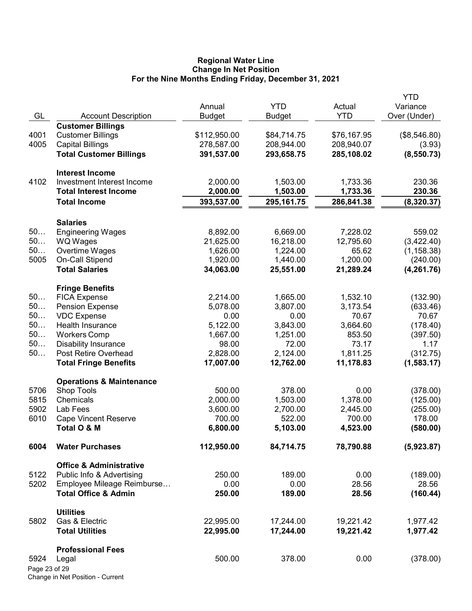### Regional Water Line Change In Net Position For the Nine Months Ending Friday, December 31, 2021

|               |                                     |               |               |             | <b>YTD</b>        |
|---------------|-------------------------------------|---------------|---------------|-------------|-------------------|
|               |                                     | Annual        | <b>YTD</b>    | Actual      | Variance          |
| GL            | <b>Account Description</b>          | <b>Budget</b> | <b>Budget</b> | <b>YTD</b>  | Over (Under)      |
|               | <b>Customer Billings</b>            |               |               |             |                   |
| 4001          | <b>Customer Billings</b>            | \$112,950.00  | \$84,714.75   | \$76,167.95 | (\$8,546.80)      |
| 4005          | <b>Capital Billings</b>             | 278,587.00    | 208,944.00    | 208,940.07  | (3.93)            |
|               | <b>Total Customer Billings</b>      | 391,537.00    | 293,658.75    | 285,108.02  | (8,550.73)        |
|               |                                     |               |               |             |                   |
|               | <b>Interest Income</b>              |               |               |             |                   |
| 4102          | Investment Interest Income          | 2,000.00      | 1,503.00      | 1,733.36    | 230.36            |
|               | <b>Total Interest Income</b>        | 2,000.00      | 1,503.00      | 1,733.36    | 230.36            |
|               | <b>Total Income</b>                 | 393,537.00    | 295, 161. 75  | 286,841.38  | (8,320.37)        |
|               |                                     |               |               |             |                   |
|               | <b>Salaries</b>                     |               |               |             |                   |
| 50            | <b>Engineering Wages</b>            | 8,892.00      | 6,669.00      | 7,228.02    | 559.02            |
| 50            | WQ Wages                            | 21,625.00     | 16,218.00     | 12,795.60   | (3,422.40)        |
| 50            | Overtime Wages                      | 1,626.00      | 1,224.00      | 65.62       | (1, 158.38)       |
| 5005          | On-Call Stipend                     | 1,920.00      | 1,440.00      | 1,200.00    | (240.00)          |
|               | <b>Total Salaries</b>               | 34,063.00     | 25,551.00     | 21,289.24   | (4, 261.76)       |
|               |                                     |               |               |             |                   |
|               | <b>Fringe Benefits</b>              |               |               |             |                   |
| 50            | <b>FICA Expense</b>                 | 2,214.00      | 1,665.00      | 1,532.10    | (132.90)          |
| 50            | <b>Pension Expense</b>              | 5,078.00      | 3,807.00      | 3,173.54    | (633.46)          |
| 50            | <b>VDC Expense</b>                  | 0.00          | 0.00          | 70.67       | 70.67             |
| 50            | Health Insurance                    | 5,122.00      | 3,843.00      | 3,664.60    | (178.40)          |
| 50            | <b>Workers Comp</b>                 | 1,667.00      | 1,251.00      | 853.50      | (397.50)          |
| 50            | <b>Disability Insurance</b>         | 98.00         | 72.00         | 73.17       | 1.17              |
| 50            | Post Retire Overhead                | 2,828.00      | 2,124.00      | 1,811.25    | (312.75)          |
|               | <b>Total Fringe Benefits</b>        | 17,007.00     | 12,762.00     | 11,178.83   | (1,583.17)        |
|               | <b>Operations &amp; Maintenance</b> |               |               |             |                   |
| 5706          | Shop Tools                          | 500.00        | 378.00        | 0.00        | (378.00)          |
| 5815          | Chemicals                           | 2,000.00      | 1,503.00      | 1,378.00    | (125.00)          |
| 5902          | Lab Fees                            | 3,600.00      | 2,700.00      | 2,445.00    | (255.00)          |
| 6010          | <b>Cape Vincent Reserve</b>         | 700.00        | 522.00        | 700.00      | 178.00            |
|               | Total O & M                         | 6,800.00      | 5,103.00      | 4,523.00    | (580.00)          |
|               |                                     |               |               |             |                   |
| 6004          | <b>Water Purchases</b>              | 112,950.00    | 84,714.75     | 78,790.88   | (5,923.87)        |
|               | <b>Office &amp; Administrative</b>  |               |               |             |                   |
| 5122          | Public Info & Advertising           | 250.00        | 189.00        | 0.00        |                   |
| 5202          | Employee Mileage Reimburse          | 0.00          | 0.00          | 28.56       | (189.00)<br>28.56 |
|               | <b>Total Office &amp; Admin</b>     |               | 189.00        | 28.56       |                   |
|               |                                     | 250.00        |               |             | (160.44)          |
|               | <b>Utilities</b>                    |               |               |             |                   |
| 5802          | Gas & Electric                      | 22,995.00     | 17,244.00     | 19,221.42   | 1,977.42          |
|               | <b>Total Utilities</b>              | 22,995.00     | 17,244.00     | 19,221.42   | 1,977.42          |
|               |                                     |               |               |             |                   |
|               | <b>Professional Fees</b>            |               |               |             |                   |
| 5924          | Legal                               | 500.00        | 378.00        | 0.00        | (378.00)          |
| Page 23 of 29 |                                     |               |               |             |                   |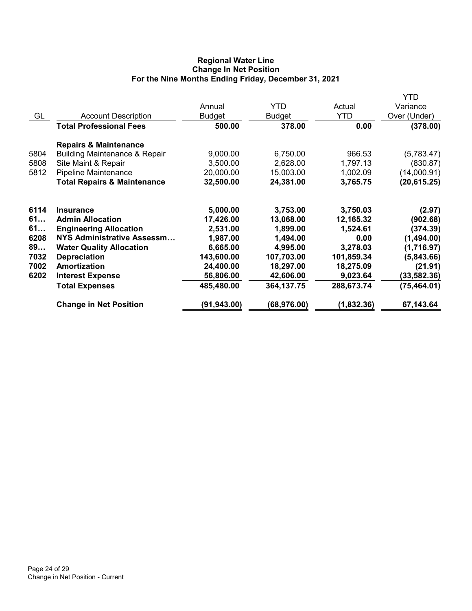# Regional Water Line Change In Net Position For the Nine Months Ending Friday, December 31, 2021

|                                          |               |               |            | YTD          |
|------------------------------------------|---------------|---------------|------------|--------------|
|                                          | Annual        | <b>YTD</b>    | Actual     | Variance     |
| <b>Account Description</b>               | <b>Budget</b> | <b>Budget</b> | <b>YTD</b> | Over (Under) |
| <b>Total Professional Fees</b>           | 500.00        | 378.00        | 0.00       | (378.00)     |
| <b>Repairs &amp; Maintenance</b>         |               |               |            |              |
| <b>Building Maintenance &amp; Repair</b> | 9,000.00      | 6,750.00      | 966.53     | (5,783.47)   |
| Site Maint & Repair                      | 3,500.00      | 2,628.00      | 1,797.13   | (830.87)     |
| Pipeline Maintenance                     | 20,000.00     | 15,003.00     | 1,002.09   | (14,000.91)  |
| <b>Total Repairs &amp; Maintenance</b>   | 32,500.00     | 24,381.00     | 3,765.75   | (20, 615.25) |
| <b>Insurance</b>                         | 5,000.00      | 3,753.00      | 3,750.03   | (2.97)       |
| <b>Admin Allocation</b>                  | 17,426.00     | 13,068.00     | 12,165.32  | (902.68)     |
| <b>Engineering Allocation</b>            | 2,531.00      | 1,899.00      | 1,524.61   | (374.39)     |
| NYS Administrative Assessm               | 1,987.00      | 1,494.00      | 0.00       | (1,494.00)   |
| <b>Water Quality Allocation</b>          | 6,665.00      | 4,995.00      | 3,278.03   | (1,716.97)   |
| <b>Depreciation</b>                      | 143,600.00    | 107,703.00    | 101,859.34 | (5,843.66)   |
| Amortization                             | 24,400.00     | 18,297.00     | 18,275.09  | (21.91)      |
| <b>Interest Expense</b>                  | 56,806.00     | 42,606.00     | 9,023.64   | (33, 582.36) |
| <b>Total Expenses</b>                    | 485,480.00    | 364, 137. 75  | 288,673.74 | (75, 464.01) |
| <b>Change in Net Position</b>            | (91,943.00)   | (68, 976.00)  | (1,832.36) | 67,143.64    |
|                                          |               |               |            |              |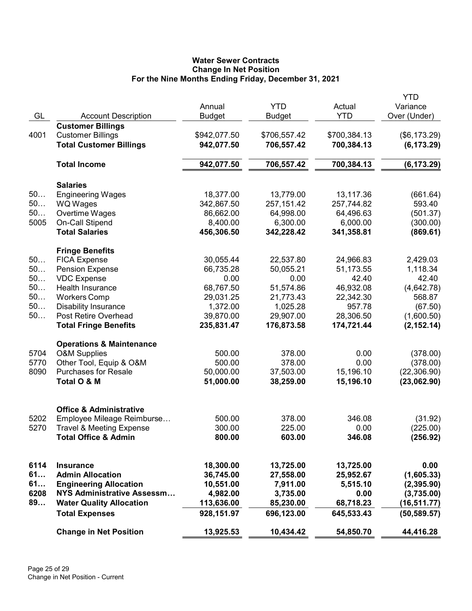# Water Sewer Contracts Change In Net Position For the Nine Months Ending Friday, December 31, 2021

| GL   | <b>Account Description</b>          | Annual<br><b>Budget</b> | <b>YTD</b><br><b>Budget</b> | Actual<br><b>YTD</b> | YTD<br>Variance<br>Over (Under) |
|------|-------------------------------------|-------------------------|-----------------------------|----------------------|---------------------------------|
|      | <b>Customer Billings</b>            |                         |                             |                      |                                 |
| 4001 | <b>Customer Billings</b>            | \$942,077.50            | \$706,557.42                | \$700,384.13         | (\$6,173.29)                    |
|      | <b>Total Customer Billings</b>      | 942,077.50              | 706,557.42                  | 700,384.13           | (6, 173.29)                     |
|      | <b>Total Income</b>                 | 942,077.50              | 706,557.42                  | 700,384.13           | (6, 173.29)                     |
|      | <b>Salaries</b>                     |                         |                             |                      |                                 |
| 50   | <b>Engineering Wages</b>            | 18,377.00               | 13,779.00                   | 13,117.36            | (661.64)                        |
| 50   | <b>WQ Wages</b>                     | 342,867.50              | 257, 151.42                 | 257,744.82           | 593.40                          |
| 50   | Overtime Wages                      | 86,662.00               | 64,998.00                   | 64,496.63            | (501.37)                        |
| 5005 | On-Call Stipend                     | 8,400.00                | 6,300.00                    | 6,000.00             | (300.00)                        |
|      | <b>Total Salaries</b>               | 456,306.50              | 342,228.42                  | 341,358.81           | (869.61)                        |
|      | <b>Fringe Benefits</b>              |                         |                             |                      |                                 |
| 50   | <b>FICA Expense</b>                 | 30,055.44               | 22,537.80                   | 24,966.83            | 2,429.03                        |
| 50   | <b>Pension Expense</b>              | 66,735.28               | 50,055.21                   | 51,173.55            | 1,118.34                        |
| 50   | <b>VDC Expense</b>                  | 0.00                    | 0.00                        | 42.40                | 42.40                           |
| 50   | Health Insurance                    | 68,767.50               | 51,574.86                   | 46,932.08            | (4,642.78)                      |
| 50   | <b>Workers Comp</b>                 | 29,031.25               | 21,773.43                   | 22,342.30            | 568.87                          |
| 50   | <b>Disability Insurance</b>         | 1,372.00                | 1,025.28                    | 957.78               | (67.50)                         |
| 50   | Post Retire Overhead                | 39,870.00               | 29,907.00                   | 28,306.50            | (1,600.50)                      |
|      | <b>Total Fringe Benefits</b>        | 235,831.47              | 176,873.58                  | 174,721.44           | (2, 152.14)                     |
|      | <b>Operations &amp; Maintenance</b> |                         |                             |                      |                                 |
| 5704 | <b>O&amp;M Supplies</b>             | 500.00                  | 378.00                      | 0.00                 | (378.00)                        |
| 5770 | Other Tool, Equip & O&M             | 500.00                  | 378.00                      | 0.00                 | (378.00)                        |
| 8090 | <b>Purchases for Resale</b>         | 50,000.00               | 37,503.00                   | 15,196.10            | (22, 306.90)                    |
|      | Total O & M                         | 51,000.00               | 38,259.00                   | 15,196.10            | (23,062.90)                     |
|      | <b>Office &amp; Administrative</b>  |                         |                             |                      |                                 |
| 5202 | Employee Mileage Reimburse          | 500.00                  | 378.00                      | 346.08               | (31.92)                         |
| 5270 | <b>Travel &amp; Meeting Expense</b> | 300.00                  | 225.00                      | 0.00                 | (225.00)                        |
|      | <b>Total Office &amp; Admin</b>     | 800.00                  | 603.00                      | 346.08               | (256.92)                        |
|      |                                     |                         |                             |                      |                                 |
| 6114 | <b>Insurance</b>                    | 18,300.00               | 13,725.00                   | 13,725.00            | 0.00                            |
| 61   | <b>Admin Allocation</b>             | 36,745.00               | 27,558.00                   | 25,952.67            | (1,605.33)                      |
| 61   | <b>Engineering Allocation</b>       | 10,551.00               | 7,911.00                    | 5,515.10             | (2,395.90)                      |
| 6208 | <b>NYS Administrative Assessm</b>   | 4,982.00                | 3,735.00                    | 0.00                 | (3,735.00)                      |
| 89   | <b>Water Quality Allocation</b>     | 113,636.00              | 85,230.00                   | 68,718.23            | (16, 511.77)                    |
|      | <b>Total Expenses</b>               | 928,151.97              | 696,123.00                  | 645,533.43           | (50, 589.57)                    |
|      | <b>Change in Net Position</b>       | 13,925.53               | 10,434.42                   | 54,850.70            | 44,416.28                       |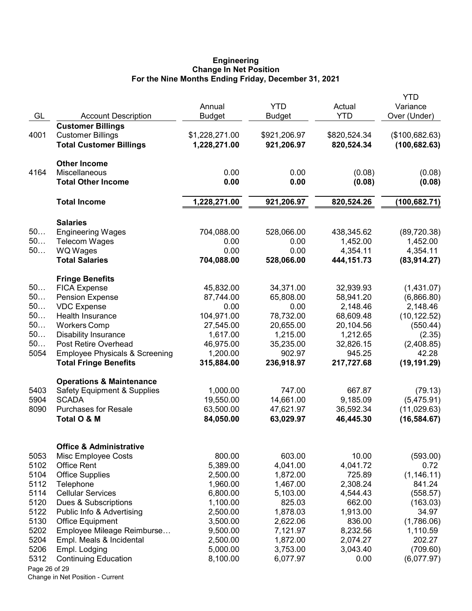#### Engineering Change In Net Position For the Nine Months Ending Friday, December 31, 2021

|               |                                           |                      |                      |                    | <b>YTD</b>          |
|---------------|-------------------------------------------|----------------------|----------------------|--------------------|---------------------|
|               |                                           | Annual               | <b>YTD</b>           | Actual             | Variance            |
| GL            | <b>Account Description</b>                | <b>Budget</b>        | Budget               | <b>YTD</b>         | Over (Under)        |
|               | <b>Customer Billings</b>                  |                      |                      |                    |                     |
| 4001          | <b>Customer Billings</b>                  | \$1,228,271.00       | \$921,206.97         | \$820,524.34       | (\$100,682.63)      |
|               | <b>Total Customer Billings</b>            | 1,228,271.00         | 921,206.97           | 820,524.34         | (100, 682.63)       |
|               | <b>Other Income</b>                       |                      |                      |                    |                     |
| 4164          | Miscellaneous                             | 0.00                 | 0.00                 | (0.08)             | (0.08)              |
|               | <b>Total Other Income</b>                 | 0.00                 | 0.00                 | (0.08)             | (0.08)              |
|               | <b>Total Income</b>                       | 1,228,271.00         | 921,206.97           | 820,524.26         | (100,682.71)        |
|               | <b>Salaries</b>                           |                      |                      |                    |                     |
| 50            | <b>Engineering Wages</b>                  | 704,088.00           | 528,066.00           | 438,345.62         | (89, 720.38)        |
| 50            | <b>Telecom Wages</b>                      | 0.00                 | 0.00                 | 1,452.00           | 1,452.00            |
| 50            | <b>WQ Wages</b>                           | 0.00                 | 0.00                 | 4,354.11           | 4,354.11            |
|               | <b>Total Salaries</b>                     | 704,088.00           | 528,066.00           | 444, 151. 73       | (83,914.27)         |
|               | <b>Fringe Benefits</b>                    |                      |                      |                    |                     |
| 50            | <b>FICA Expense</b>                       | 45,832.00            | 34,371.00            | 32,939.93          | (1,431.07)          |
| 50            | <b>Pension Expense</b>                    | 87,744.00            | 65,808.00            | 58,941.20          | (6,866.80)          |
| 50            | <b>VDC Expense</b>                        | 0.00                 | 0.00                 | 2,148.46           | 2,148.46            |
| 50            | Health Insurance                          | 104,971.00           | 78,732.00            | 68,609.48          | (10, 122.52)        |
| 50            | <b>Workers Comp</b>                       | 27,545.00            | 20,655.00            | 20,104.56          | (550.44)            |
| 50            | <b>Disability Insurance</b>               | 1,617.00             | 1,215.00             | 1,212.65           | (2.35)              |
| 50            | Post Retire Overhead                      | 46,975.00            | 35,235.00            | 32,826.15          | (2,408.85)          |
| 5054          | <b>Employee Physicals &amp; Screening</b> | 1,200.00             | 902.97               | 945.25             | 42.28               |
|               | <b>Total Fringe Benefits</b>              | 315,884.00           | 236,918.97           | 217,727.68         | (19, 191.29)        |
|               | <b>Operations &amp; Maintenance</b>       |                      |                      |                    |                     |
| 5403          | <b>Safety Equipment &amp; Supplies</b>    | 1,000.00             | 747.00               | 667.87             | (79.13)             |
| 5904          | <b>SCADA</b>                              | 19,550.00            | 14,661.00            | 9,185.09           | (5,475.91)          |
| 8090          | <b>Purchases for Resale</b>               | 63,500.00            | 47,621.97            | 36,592.34          | (11,029.63)         |
|               | Total O & M                               | 84,050.00            | 63,029.97            | 46,445.30          | (16, 584.67)        |
|               |                                           |                      |                      |                    |                     |
|               | <b>Office &amp; Administrative</b>        |                      |                      |                    |                     |
| 5053          | Misc Employee Costs                       | 800.00               | 603.00               | 10.00              | (593.00)            |
| 5102          | <b>Office Rent</b>                        | 5,389.00             | 4,041.00             | 4,041.72           | 0.72<br>(1, 146.11) |
| 5104<br>5112  | <b>Office Supplies</b>                    | 2,500.00<br>1,960.00 | 1,872.00<br>1,467.00 | 725.89<br>2,308.24 | 841.24              |
| 5114          | Telephone<br><b>Cellular Services</b>     | 6,800.00             | 5,103.00             | 4,544.43           | (558.57)            |
| 5120          | Dues & Subscriptions                      | 1,100.00             | 825.03               | 662.00             | (163.03)            |
| 5122          | Public Info & Advertising                 | 2,500.00             | 1,878.03             | 1,913.00           | 34.97               |
| 5130          | <b>Office Equipment</b>                   | 3,500.00             | 2,622.06             | 836.00             | (1,786.06)          |
| 5202          | Employee Mileage Reimburse                | 9,500.00             | 7,121.97             | 8,232.56           | 1,110.59            |
| 5204          | Empl. Meals & Incidental                  | 2,500.00             | 1,872.00             | 2,074.27           | 202.27              |
| 5206          | Empl. Lodging                             | 5,000.00             | 3,753.00             | 3,043.40           | (709.60)            |
| 5312          | <b>Continuing Education</b>               | 8,100.00             | 6,077.97             | 0.00               | (6,077.97)          |
| Page 26 of 29 |                                           |                      |                      |                    |                     |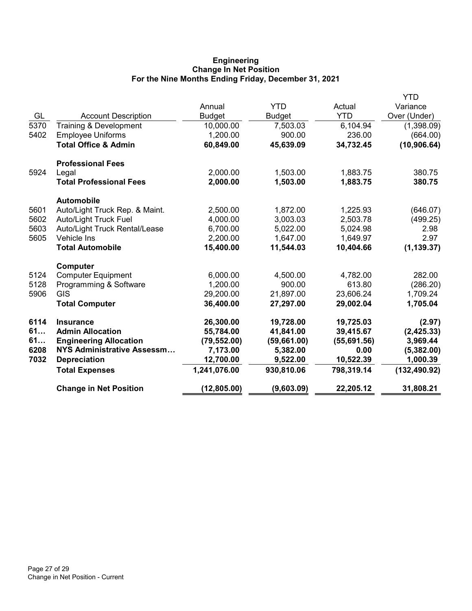# Engineering Change In Net Position For the Nine Months Ending Friday, December 31, 2021

|      |                                 |               |               |             | YTD           |
|------|---------------------------------|---------------|---------------|-------------|---------------|
|      |                                 | Annual        | <b>YTD</b>    | Actual      | Variance      |
| GL   | <b>Account Description</b>      | <b>Budget</b> | <b>Budget</b> | <b>YTD</b>  | Over (Under)  |
| 5370 | Training & Development          | 10,000.00     | 7,503.03      | 6,104.94    | (1,398.09)    |
| 5402 | <b>Employee Uniforms</b>        | 1,200.00      | 900.00        | 236.00      | (664.00)      |
|      | <b>Total Office &amp; Admin</b> | 60,849.00     | 45,639.09     | 34,732.45   | (10, 906.64)  |
|      | <b>Professional Fees</b>        |               |               |             |               |
| 5924 | Legal                           | 2,000.00      | 1,503.00      | 1,883.75    | 380.75        |
|      | <b>Total Professional Fees</b>  | 2,000.00      | 1,503.00      | 1,883.75    | 380.75        |
|      | <b>Automobile</b>               |               |               |             |               |
| 5601 | Auto/Light Truck Rep. & Maint.  | 2,500.00      | 1,872.00      | 1,225.93    | (646.07)      |
| 5602 | <b>Auto/Light Truck Fuel</b>    | 4,000.00      | 3,003.03      | 2,503.78    | (499.25)      |
| 5603 | Auto/Light Truck Rental/Lease   | 6,700.00      | 5,022.00      | 5,024.98    | 2.98          |
| 5605 | Vehicle Ins                     | 2,200.00      | 1,647.00      | 1,649.97    | 2.97          |
|      | <b>Total Automobile</b>         | 15,400.00     | 11,544.03     | 10,404.66   | (1, 139.37)   |
|      | <b>Computer</b>                 |               |               |             |               |
| 5124 | <b>Computer Equipment</b>       | 6,000.00      | 4,500.00      | 4,782.00    | 282.00        |
| 5128 | Programming & Software          | 1,200.00      | 900.00        | 613.80      | (286.20)      |
| 5906 | <b>GIS</b>                      | 29,200.00     | 21,897.00     | 23,606.24   | 1,709.24      |
|      | <b>Total Computer</b>           | 36,400.00     | 27,297.00     | 29,002.04   | 1,705.04      |
| 6114 | <b>Insurance</b>                | 26,300.00     | 19,728.00     | 19,725.03   | (2.97)        |
| 61   | <b>Admin Allocation</b>         | 55,784.00     | 41,841.00     | 39,415.67   | (2, 425.33)   |
| 61   | <b>Engineering Allocation</b>   | (79, 552.00)  | (59,661.00)   | (55,691.56) | 3,969.44      |
| 6208 | NYS Administrative Assessm      | 7,173.00      | 5,382.00      | 0.00        | (5,382.00)    |
| 7032 | <b>Depreciation</b>             | 12,700.00     | 9,522.00      | 10,522.39   | 1,000.39      |
|      | <b>Total Expenses</b>           | 1,241,076.00  | 930,810.06    | 798,319.14  | (132, 490.92) |
|      | <b>Change in Net Position</b>   | (12, 805.00)  | (9,603.09)    | 22,205.12   | 31,808.21     |
|      |                                 |               |               |             |               |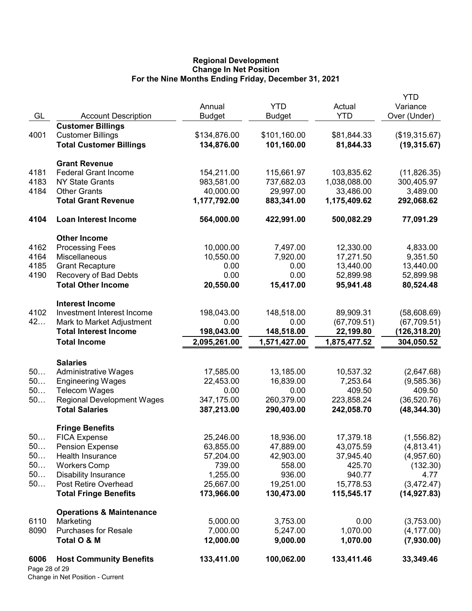### Regional Development Change In Net Position For the Nine Months Ending Friday, December 31, 2021

| GL                    | <b>Account Description</b>                                 | Annual<br><b>Budget</b>    | <b>YTD</b><br><b>Budget</b> | Actual<br><b>YTD</b>      | <b>YTD</b><br>Variance<br>Over (Under) |
|-----------------------|------------------------------------------------------------|----------------------------|-----------------------------|---------------------------|----------------------------------------|
|                       | <b>Customer Billings</b>                                   |                            |                             |                           |                                        |
| 4001                  | <b>Customer Billings</b>                                   | \$134,876.00               | \$101,160.00                | \$81,844.33               | (\$19,315.67)                          |
|                       | <b>Total Customer Billings</b>                             | 134,876.00                 | 101,160.00                  | 81,844.33                 | (19, 315.67)                           |
|                       | <b>Grant Revenue</b>                                       |                            |                             |                           |                                        |
| 4181                  | <b>Federal Grant Income</b>                                | 154,211.00                 | 115,661.97                  | 103,835.62                | (11, 826.35)                           |
| 4183                  | <b>NY State Grants</b>                                     | 983,581.00                 | 737,682.03                  | 1,038,088.00              | 300,405.97                             |
| 4184                  | <b>Other Grants</b><br><b>Total Grant Revenue</b>          | 40,000.00<br>1,177,792.00  | 29,997.00<br>883,341.00     | 33,486.00<br>1,175,409.62 | 3,489.00<br>292,068.62                 |
|                       |                                                            |                            |                             |                           |                                        |
| 4104                  | <b>Loan Interest Income</b>                                | 564,000.00                 | 422,991.00                  | 500,082.29                | 77,091.29                              |
|                       | <b>Other Income</b>                                        |                            |                             |                           |                                        |
| 4162                  | <b>Processing Fees</b>                                     | 10,000.00                  | 7,497.00                    | 12,330.00                 | 4,833.00                               |
| 4164                  | Miscellaneous                                              | 10,550.00                  | 7,920.00                    | 17,271.50                 | 9,351.50                               |
| 4185<br>4190          | <b>Grant Recapture</b>                                     | 0.00<br>0.00               | 0.00<br>0.00                | 13,440.00                 | 13,440.00                              |
|                       | Recovery of Bad Debts<br><b>Total Other Income</b>         | 20,550.00                  | 15,417.00                   | 52,899.98<br>95,941.48    | 52,899.98<br>80,524.48                 |
|                       |                                                            |                            |                             |                           |                                        |
|                       | <b>Interest Income</b>                                     |                            |                             |                           |                                        |
| 4102                  | Investment Interest Income                                 | 198,043.00                 | 148,518.00                  | 89,909.31                 | (58,608.69)                            |
| 42                    | Mark to Market Adjustment                                  | 0.00                       | 0.00                        | (67, 709.51)              | (67, 709.51)                           |
|                       | <b>Total Interest Income</b>                               | 198,043.00<br>2,095,261.00 | 148,518.00<br>1,571,427.00  | 22,199.80                 | (126,318.20)                           |
|                       | <b>Total Income</b>                                        |                            |                             | 1,875,477.52              | 304,050.52                             |
|                       | <b>Salaries</b>                                            |                            |                             |                           |                                        |
| 50                    | <b>Administrative Wages</b>                                | 17,585.00                  | 13,185.00                   | 10,537.32                 | (2,647.68)                             |
| 50                    | <b>Engineering Wages</b>                                   | 22,453.00                  | 16,839.00                   | 7,253.64                  | (9,585.36)                             |
| 50<br>50              | <b>Telecom Wages</b>                                       | 0.00                       | 0.00<br>260,379.00          | 409.50                    | 409.50                                 |
|                       | <b>Regional Development Wages</b><br><b>Total Salaries</b> | 347,175.00<br>387,213.00   | 290,403.00                  | 223,858.24<br>242,058.70  | (36, 520.76)<br>(48, 344.30)           |
|                       |                                                            |                            |                             |                           |                                        |
| 50                    | <b>Fringe Benefits</b><br><b>FICA Expense</b>              | 25,246.00                  | 18,936.00                   | 17,379.18                 | (1,556.82)                             |
| 50                    | <b>Pension Expense</b>                                     | 63,855.00                  | 47,889.00                   | 43,075.59                 | (4,813.41)                             |
| 50                    | Health Insurance                                           | 57,204.00                  | 42,903.00                   | 37,945.40                 | (4,957.60)                             |
| 50                    | <b>Workers Comp</b>                                        | 739.00                     | 558.00                      | 425.70                    | (132.30)                               |
| 50                    | <b>Disability Insurance</b>                                | 1,255.00                   | 936.00                      | 940.77                    | 4.77                                   |
| 50                    | Post Retire Overhead                                       | 25,667.00                  | 19,251.00                   | 15,778.53                 | (3,472.47)                             |
|                       | <b>Total Fringe Benefits</b>                               | 173,966.00                 | 130,473.00                  | 115,545.17                | (14, 927.83)                           |
|                       | <b>Operations &amp; Maintenance</b>                        |                            |                             |                           |                                        |
| 6110                  | Marketing                                                  | 5,000.00                   | 3,753.00                    | 0.00                      | (3,753.00)                             |
| 8090                  | <b>Purchases for Resale</b>                                | 7,000.00                   | 5,247.00                    | 1,070.00                  | (4, 177.00)                            |
|                       | Total O & M                                                | 12,000.00                  | 9,000.00                    | 1,070.00                  | (7,930.00)                             |
| 6006<br>Page 28 of 29 | <b>Host Community Benefits</b>                             | 133,411.00                 | 100,062.00                  | 133,411.46                | 33,349.46                              |